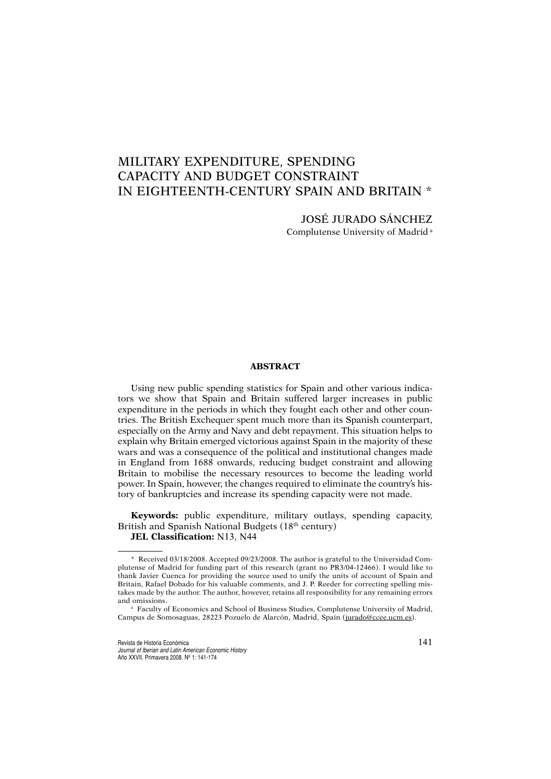# MILITARY EXPENDITURE, SPENDING CAPACITY AND BUDGET CONSTRAINT IN EIGHTEENTH-CENTURY SPAIN AND BRITAIN \*

JOSÉ JURADO SÁNCHEZ Complutense University of Madrid <sup>a</sup>

#### **ABSTRACT**

Using new public spending statistics for Spain and other various indicators we show that Spain and Britain suffered larger increases in public expenditure in the periods in which they fought each other and other countries. The British Exchequer spent much more than its Spanish counterpart, especially on the Army and Navy and debt repayment. This situation helps to explain why Britain emerged victorious against Spain in the majority of these wars and was a consequence of the political and institutional changes made in England from 1688 onwards, reducing budget constraint and allowing Britain to mobilise the necessary resources to become the leading world power. In Spain, however, the changes required to eliminate the country's history of bankruptcies and increase its spending capacity were not made.

**Keywords:** public expenditure, military outlays, spending capacity, British and Spanish National Budgets (18th century) **JEL Classification:** N13, N44

Revista de Historia Económica 141

Journal of Iberian and Latin American Economic History Año XXVII. Primavera 2008. Nº 1: 141-174

<sup>\*</sup> Received 03/18/2008. Accepted 09/23/2008. The author is grateful to the Universidad Complutense of Madrid for funding part of this research (grant no PR3/04-12466). I would like to thank Javier Cuenca for providing the source used to unify the units of account of Spain and Britain, Rafael Dobado for his valuable comments, and J. P. Reeder for correcting spelling mistakes made by the author. The author, however, retains all responsibility for any remaining errors and omissions.

<sup>a</sup> Faculty of Economics and School of Business Studies, Complutense University of Madrid, Campus de Somosaguas, 28223 Pozuelo de Alarcón, Madrid, Spain (jurado@ccee.ucm.es).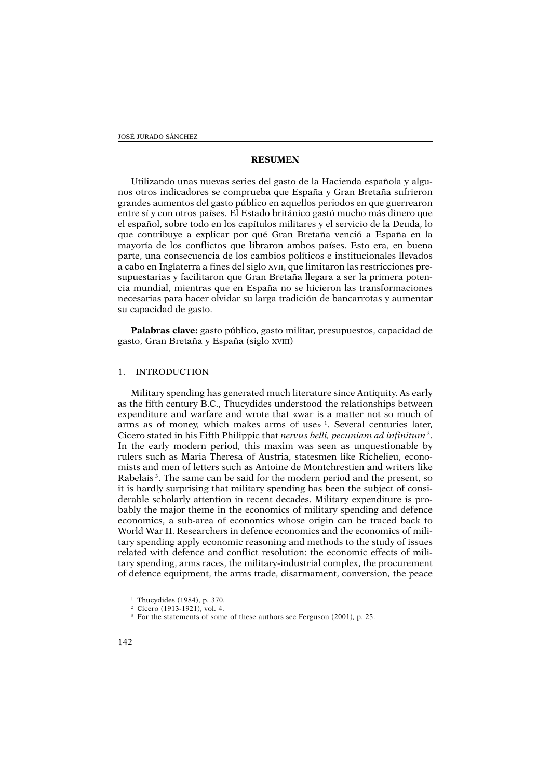# **RESUMEN**

Utilizando unas nuevas series del gasto de la Hacienda española y algunos otros indicadores se comprueba que España y Gran Bretaña sufrieron grandes aumentos del gasto público en aquellos periodos en que guerrearon entre sí y con otros países. El Estado británico gastó mucho más dinero que el español, sobre todo en los capítulos militares y el servicio de la Deuda, lo que contribuye a explicar por qué Gran Bretaña venció a España en la mayoría de los conflictos que libraron ambos países. Esto era, en buena parte, una consecuencia de los cambios políticos e institucionales llevados a cabo en Inglaterra a fines del siglo XVII, que limitaron las restricciones presupuestarias y facilitaron que Gran Bretaña llegara a ser la primera potencia mundial, mientras que en España no se hicieron las transformaciones necesarias para hacer olvidar su larga tradición de bancarrotas y aumentar su capacidad de gasto.

**Palabras clave:** gasto público, gasto militar, presupuestos, capacidad de gasto, Gran Bretaña y España (siglo XVIII)

## 1. INTRODUCTION

Military spending has generated much literature since Antiquity. As early as the fifth century B.C., Thucydides understood the relationships between expenditure and warfare and wrote that «war is a matter not so much of arms as of money, which makes arms of use<sup>» 1</sup>. Several centuries later, Cicero stated in his Fifth Philippic that *nervus belli, pecuniam ad infinitum*2. In the early modern period, this maxim was seen as unquestionable by rulers such as Maria Theresa of Austria, statesmen like Richelieu, economists and men of letters such as Antoine de Montchrestien and writers like Rabelais 3. The same can be said for the modern period and the present, so it is hardly surprising that military spending has been the subject of considerable scholarly attention in recent decades. Military expenditure is probably the major theme in the economics of military spending and defence economics, a sub-area of economics whose origin can be traced back to World War II. Researchers in defence economics and the economics of military spending apply economic reasoning and methods to the study of issues related with defence and conflict resolution: the economic effects of military spending, arms races, the military-industrial complex, the procurement of defence equipment, the arms trade, disarmament, conversion, the peace

<sup>1</sup> Thucydides (1984), p. 370.

<sup>2</sup> Cicero (1913-1921), vol. 4.

<sup>3</sup> For the statements of some of these authors see Ferguson (2001), p. 25.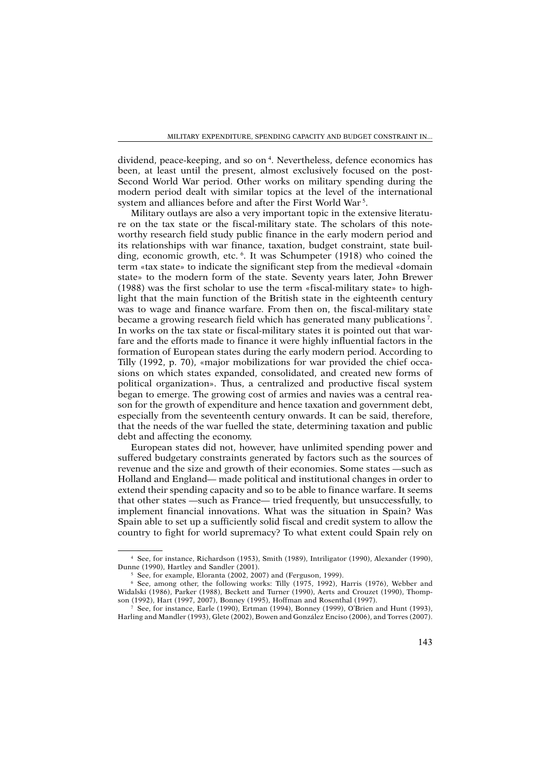dividend, peace-keeping, and so on<sup>4</sup>. Nevertheless, defence economics has been, at least until the present, almost exclusively focused on the post-Second World War period. Other works on military spending during the modern period dealt with similar topics at the level of the international system and alliances before and after the First World War<sup>5</sup>.

Military outlays are also a very important topic in the extensive literature on the tax state or the fiscal-military state. The scholars of this noteworthy research field study public finance in the early modern period and its relationships with war finance, taxation, budget constraint, state building, economic growth, etc. <sup>6</sup>. It was Schumpeter (1918) who coined the term «tax state» to indicate the significant step from the medieval «domain state» to the modern form of the state. Seventy years later, John Brewer (1988) was the first scholar to use the term «fiscal-military state» to highlight that the main function of the British state in the eighteenth century was to wage and finance warfare. From then on, the fiscal-military state became a growing research field which has generated many publications 7. In works on the tax state or fiscal-military states it is pointed out that warfare and the efforts made to finance it were highly influential factors in the formation of European states during the early modern period. According to Tilly (1992, p. 70), «major mobilizations for war provided the chief occasions on which states expanded, consolidated, and created new forms of political organization». Thus, a centralized and productive fiscal system began to emerge. The growing cost of armies and navies was a central reason for the growth of expenditure and hence taxation and government debt, especially from the seventeenth century onwards. It can be said, therefore, that the needs of the war fuelled the state, determining taxation and public debt and affecting the economy.

European states did not, however, have unlimited spending power and suffered budgetary constraints generated by factors such as the sources of revenue and the size and growth of their economies. Some states —such as Holland and England— made political and institutional changes in order to extend their spending capacity and so to be able to finance warfare. It seems that other states —such as France— tried frequently, but unsuccessfully, to implement financial innovations. What was the situation in Spain? Was Spain able to set up a sufficiently solid fiscal and credit system to allow the country to fight for world supremacy? To what extent could Spain rely on

<sup>4</sup> See, for instance, Richardson (1953), Smith (1989), Intriligator (1990), Alexander (1990), Dunne (1990), Hartley and Sandler (2001).

 $5$  See, for example, Eloranta (2002, 2007) and (Ferguson, 1999).

<sup>6</sup> See, among other, the following works: Tilly (1975, 1992), Harris (1976), Webber and Widalski (1986), Parker (1988), Beckett and Turner (1990), Aerts and Crouzet (1990), Thompson (1992), Hart (1997, 2007), Bonney (1995), Hoffman and Rosenthal (1997).

<sup>7</sup> See, for instance, Earle (1990), Ertman (1994), Bonney (1999), O'Brien and Hunt (1993), Harling and Mandler (1993), Glete (2002), Bowen and González Enciso (2006), and Torres (2007).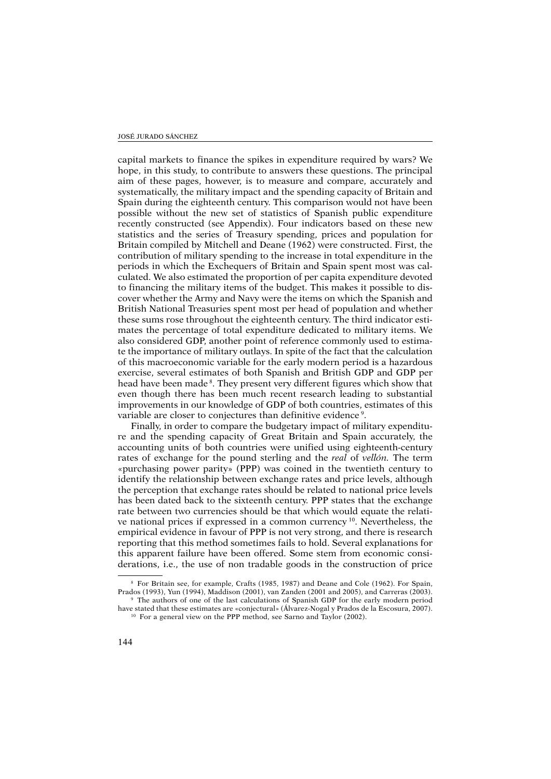#### JOSÉ JURADO SÁNCHEZ

capital markets to finance the spikes in expenditure required by wars? We hope, in this study, to contribute to answers these questions. The principal aim of these pages, however, is to measure and compare, accurately and systematically, the military impact and the spending capacity of Britain and Spain during the eighteenth century. This comparison would not have been possible without the new set of statistics of Spanish public expenditure recently constructed (see Appendix). Four indicators based on these new statistics and the series of Treasury spending, prices and population for Britain compiled by Mitchell and Deane (1962) were constructed. First, the contribution of military spending to the increase in total expenditure in the periods in which the Exchequers of Britain and Spain spent most was calculated. We also estimated the proportion of per capita expenditure devoted to financing the military items of the budget. This makes it possible to discover whether the Army and Navy were the items on which the Spanish and British National Treasuries spent most per head of population and whether these sums rose throughout the eighteenth century. The third indicator estimates the percentage of total expenditure dedicated to military items. We also considered GDP, another point of reference commonly used to estimate the importance of military outlays. In spite of the fact that the calculation of this macroeconomic variable for the early modern period is a hazardous exercise, several estimates of both Spanish and British GDP and GDP per head have been made 8. They present very different figures which show that even though there has been much recent research leading to substantial improvements in our knowledge of GDP of both countries, estimates of this variable are closer to conjectures than definitive evidence 9.

Finally, in order to compare the budgetary impact of military expenditure and the spending capacity of Great Britain and Spain accurately, the accounting units of both countries were unified using eighteenth-century rates of exchange for the pound sterling and the *real* of *vellón.* The term «purchasing power parity» (PPP) was coined in the twentieth century to identify the relationship between exchange rates and price levels, although the perception that exchange rates should be related to national price levels has been dated back to the sixteenth century. PPP states that the exchange rate between two currencies should be that which would equate the relative national prices if expressed in a common currency 10. Nevertheless, the empirical evidence in favour of PPP is not very strong, and there is research reporting that this method sometimes fails to hold. Several explanations for this apparent failure have been offered. Some stem from economic considerations, i.e., the use of non tradable goods in the construction of price

<sup>8</sup> For Britain see, for example, Crafts (1985, 1987) and Deane and Cole (1962). For Spain, Prados (1993), Yun (1994), Maddison (2001), van Zanden (2001 and 2005), and Carreras (2003). <sup>9</sup> The authors of one of the last calculations of Spanish GDP for the early modern period

have stated that these estimates are «conjectural» (Álvarez-Nogal y Prados de la Escosura, 2007). <sup>10</sup> For a general view on the PPP method, see Sarno and Taylor (2002).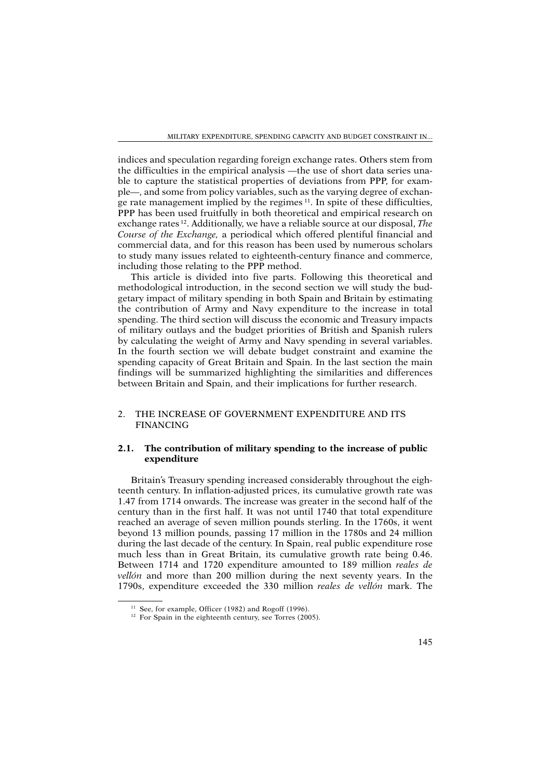indices and speculation regarding foreign exchange rates. Others stem from the difficulties in the empirical analysis —the use of short data series unable to capture the statistical properties of deviations from PPP, for example—, and some from policy variables, such as the varying degree of exchange rate management implied by the regimes 11. In spite of these difficulties, PPP has been used fruitfully in both theoretical and empirical research on exchange rates 12. Additionally, we have a reliable source at our disposal, *The Course of the Exchange,* a periodical which offered plentiful financial and commercial data, and for this reason has been used by numerous scholars to study many issues related to eighteenth-century finance and commerce, including those relating to the PPP method.

This article is divided into five parts. Following this theoretical and methodological introduction, in the second section we will study the budgetary impact of military spending in both Spain and Britain by estimating the contribution of Army and Navy expenditure to the increase in total spending. The third section will discuss the economic and Treasury impacts of military outlays and the budget priorities of British and Spanish rulers by calculating the weight of Army and Navy spending in several variables. In the fourth section we will debate budget constraint and examine the spending capacity of Great Britain and Spain. In the last section the main findings will be summarized highlighting the similarities and differences between Britain and Spain, and their implications for further research.

## 2. THE INCREASE OF GOVERNMENT EXPENDITURE AND ITS FINANCING

## **2.1. The contribution of military spending to the increase of public expenditure**

Britain's Treasury spending increased considerably throughout the eighteenth century. In inflation-adjusted prices, its cumulative growth rate was 1.47 from 1714 onwards. The increase was greater in the second half of the century than in the first half. It was not until 1740 that total expenditure reached an average of seven million pounds sterling. In the 1760s, it went beyond 13 million pounds, passing 17 million in the 1780s and 24 million during the last decade of the century. In Spain, real public expenditure rose much less than in Great Britain, its cumulative growth rate being 0.46. Between 1714 and 1720 expenditure amounted to 189 million *reales de vellón* and more than 200 million during the next seventy years. In the 1790s, expenditure exceeded the 330 million *reales de vellón* mark. The

<sup>&</sup>lt;sup>11</sup> See, for example, Officer (1982) and Rogoff (1996).

<sup>&</sup>lt;sup>12</sup> For Spain in the eighteenth century, see Torres (2005).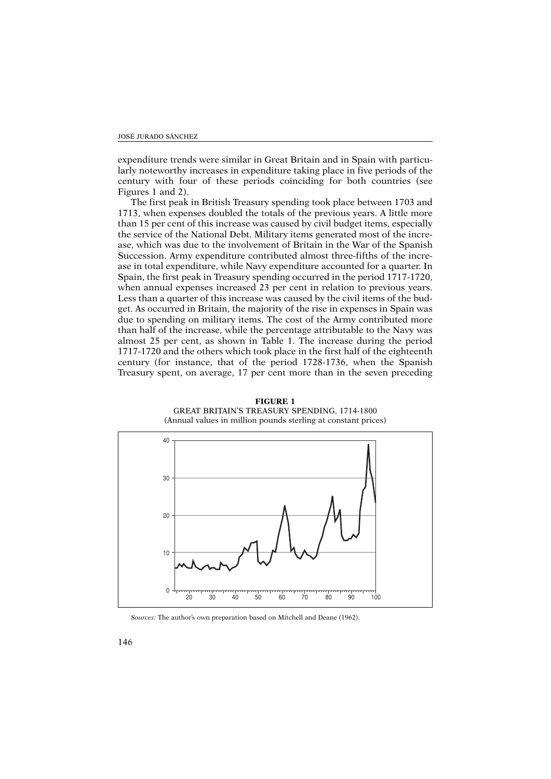expenditure trends were similar in Great Britain and in Spain with particularly noteworthy increases in expenditure taking place in five periods of the century with four of these periods coinciding for both countries (see Figures 1 and 2).

The first peak in British Treasury spending took place between 1703 and 1713, when expenses doubled the totals of the previous years. A little more than 15 per cent of this increase was caused by civil budget items, especially the service of the National Debt. Military items generated most of the increase, which was due to the involvement of Britain in the War of the Spanish Succession. Army expenditure contributed almost three-fifths of the increase in total expenditure, while Navy expenditure accounted for a quarter. In Spain, the first peak in Treasury spending occurred in the period 1717-1720, when annual expenses increased 23 per cent in relation to previous years. Less than a quarter of this increase was caused by the civil items of the budget. As occurred in Britain, the majority of the rise in expenses in Spain was due to spending on military items. The cost of the Army contributed more than half of the increase, while the percentage attributable to the Navy was almost 25 per cent, as shown in Table 1. The increase during the period 1717-1720 and the others which took place in the first half of the eighteenth century (for instance, that of the period 1728-1736, when the Spanish Treasury spent, on average, 17 per cent more than in the seven preceding

**FIGURE 1** GREAT BRITAIN'S TREASURY SPENDING, 1714-1800 (Annual values in million pounds sterling at constant prices)



*Sources:* The author's own preparation based on Mitchell and Deane (1962).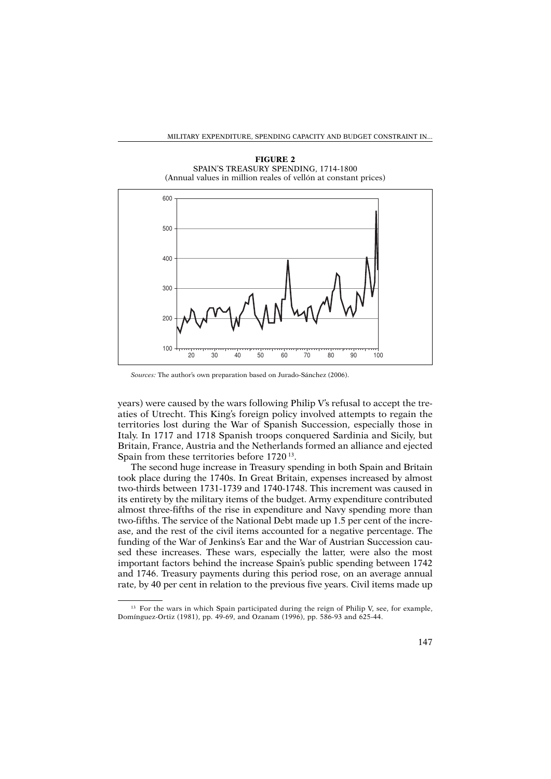#### MILITARY EXPENDITURE, SPENDING CAPACITY AND BUDGET CONSTRAINT IN...

**FIGURE 2** SPAIN'S TREASURY SPENDING, 1714-1800 (Annual values in million reales of vellón at constant prices)



*Sources:* The author's own preparation based on Jurado-Sánchez (2006).

years) were caused by the wars following Philip V's refusal to accept the treaties of Utrecht. This King's foreign policy involved attempts to regain the territories lost during the War of Spanish Succession, especially those in Italy. In 1717 and 1718 Spanish troops conquered Sardinia and Sicily, but Britain, France, Austria and the Netherlands formed an alliance and ejected Spain from these territories before 1720<sup>13</sup>.

The second huge increase in Treasury spending in both Spain and Britain took place during the 1740s. In Great Britain, expenses increased by almost two-thirds between 1731-1739 and 1740-1748. This increment was caused in its entirety by the military items of the budget. Army expenditure contributed almost three-fifths of the rise in expenditure and Navy spending more than two-fifths. The service of the National Debt made up 1.5 per cent of the increase, and the rest of the civil items accounted for a negative percentage. The funding of the War of Jenkins's Ear and the War of Austrian Succession caused these increases. These wars, especially the latter, were also the most important factors behind the increase Spain's public spending between 1742 and 1746. Treasury payments during this period rose, on an average annual rate, by 40 per cent in relation to the previous five years. Civil items made up

<sup>&</sup>lt;sup>13</sup> For the wars in which Spain participated during the reign of Philip V, see, for example, Domínguez-Ortiz (1981), pp. 49-69, and Ozanam (1996), pp. 586-93 and 625-44.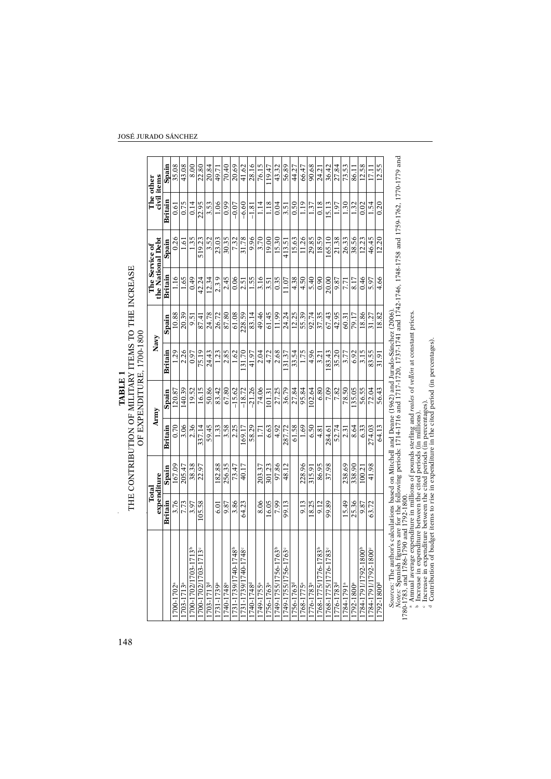|                                                                                                                                                                                                                                                    |                      |        |         |          | OF EXPENDITURE, 1700-1800 |        |                                     |                |                          |       |
|----------------------------------------------------------------------------------------------------------------------------------------------------------------------------------------------------------------------------------------------------|----------------------|--------|---------|----------|---------------------------|--------|-------------------------------------|----------------|--------------------------|-------|
|                                                                                                                                                                                                                                                    | expenditure<br>Total |        |         | Army     | Navy                      |        | the National Debt<br>The Service of |                | The other<br>civil items |       |
|                                                                                                                                                                                                                                                    | Britain              | Spain  | Britain | Spain    | Britain                   | Spain  | Britain                             | Spain          | Britain                  | Spain |
| 1700-1702 <sup>a</sup>                                                                                                                                                                                                                             | 3.76                 | 167.09 | 0.70    | 120.87   | <b>1.29</b>               | 10.88  | 1.16                                | 0.26           | 0.61                     | 35.08 |
| 1703-1713 <sup>a</sup>                                                                                                                                                                                                                             | 7.73                 | 205.47 | 3.06    | 40.39    | 2.26                      | 20.39  | 1.65                                | $\overline{5}$ | 0.75                     | 43.08 |
| 1700-1702/1703-1713b                                                                                                                                                                                                                               | 3.97                 | 38.38  | 2.36    | 19.52    | 0.97                      | 9.51   | 0.49                                | 1.35           | 0.14                     | 8.00  |
| 1700-1702/1703-1713                                                                                                                                                                                                                                | 105.58               | 22.97  | 337.14  | 16.15    | 75.19                     | 87.41  | 42.24                               | 519.23         | 22.95                    | 22.80 |
| 1703-1713 <sup>d</sup>                                                                                                                                                                                                                             |                      |        | 59.45   | 50.86    | 24.43                     | 24.78  | 12.34                               | 3.52           | 3.53                     | 20.84 |
| 1731-1739ª                                                                                                                                                                                                                                         | 6.01                 | 182.88 | 1.33    | 83.42    | 1.23                      | 26.72  | 2.39                                | 23.03          | $\frac{8}{10}$           | 49.71 |
| 1740-1748 <sup>a</sup>                                                                                                                                                                                                                             | 9.87                 | 256.35 | 3.58    | 67.80    | 2.85                      | 87.80  | 2.45                                | 30.35          | 0.99                     | 70.40 |
| 1731-1739/1740-1748                                                                                                                                                                                                                                | 3.86                 | 73.47  | 2.25    | $-15.62$ | 1.62                      | 61.08  | 0.06                                | 7.32           | $-0.07$                  | 20.69 |
| 1731-1739/1740-1748                                                                                                                                                                                                                                | 64.23                | 40.17  | 69.17   | $-18.72$ | 131.70                    | 228.59 | 2.51                                | 31.78          | $-6.60$                  | 41.62 |
| 1740-1748 <sup>d</sup>                                                                                                                                                                                                                             |                      |        | 58.29   | $-21.26$ | 41.97                     | 83.14  | 1.55                                | 9.96           | $-1.81$                  | 28.16 |
| 1749-1755 <sup>a</sup>                                                                                                                                                                                                                             | 8.06                 | 203.37 | 1.71    | 74.06    | 2.04                      | 49.46  | 3.16                                | 3.70           | $\frac{4}{11}$           | 76.15 |
| 1756-1763 <sup>a</sup>                                                                                                                                                                                                                             | 16.05                | 301.23 | 6.63    | 101.31   | 4.72                      | 61.45  | 3.51                                | 19.00          | 1.18                     | 19.47 |
| 1749-1755/1756-1763 <sup>b</sup>                                                                                                                                                                                                                   | 7.99                 | 97.86  | 4.92    | 27.25    | 2.68                      | 11.99  | 0.35                                | 15.30          | 0.04                     | 43.32 |
| 1749-1755/1756-1763°                                                                                                                                                                                                                               | 99.13                | 48.12  | 287.72  | 36.79    | 131.37                    | 24.24  | 1.07                                | 413.51         | 3.51                     | 56.89 |
| 1756-1763 <sup>d</sup>                                                                                                                                                                                                                             |                      |        | 61.58   | 27.84    | 33.54                     | 12.25  | 4.38                                | 15.63          | 0.50                     | 44.27 |
| 1768-1775 <sup>a</sup>                                                                                                                                                                                                                             | 9.13                 | 228.96 | 1.69    | 95.84    | 1.75                      | 55.39  | 4.50                                | 11.26          | 1.19                     | 66.47 |
| 1776-1783 <sup>a</sup>                                                                                                                                                                                                                             | 8.25                 | 315.91 | 6.50    | 102.64   | 4.96                      | 92.74  | 5.40                                | 29.85          | 1.37                     | 90.68 |
| 1768-1775/1776-1783 <sup>b</sup>                                                                                                                                                                                                                   | 9.12                 | 86.95  | 4.81    | 6.80     | 3.21                      | 37.35  | 0.90                                | 18.59          | 0.18                     | 24.21 |
| 1768-1775/1776-1783                                                                                                                                                                                                                                | 99.89                | 37.98  | 284.61  | 7.09     | 183.43                    | 67.43  | 20.00                               | 65.10          | 15.13                    | 36.42 |
| 1776-1783 <sup>d</sup>                                                                                                                                                                                                                             |                      |        | 52.74   | 7.82     | 35.20                     | 42.95  | 9.87                                | 21.38          | 1.97                     | 27.84 |
| 1784-1791 <sup>a</sup>                                                                                                                                                                                                                             | 15.49                | 238.69 | 2.31    | 78.50    | 3.77                      | 60.31  | 7.71                                | 26.33          | 1.30                     | 73.53 |
| 1792-1800 <sup>a</sup>                                                                                                                                                                                                                             | 25.36                | 338.90 | 8.64    | 35.05    | 6.92                      | 79.17  | 8.17                                | 38.56          | 1.32                     | 86.11 |
| 1784-1791/1792-1800b                                                                                                                                                                                                                               | 9.87                 | 100.21 | 6.33    | 56.55    | 3.15                      | 18.86  | 0.46                                | 12.23          | 0.02                     | 12.58 |
| 1784-1791/1792-1800                                                                                                                                                                                                                                | 63.72                | 41.98  | 274.03  | 72.04    | 83.55                     | 31.27  | 5.97                                | 46.45          | 1.54                     | 17.11 |
| 1792-1800 <sup>d</sup>                                                                                                                                                                                                                             |                      |        | 64.13   | 56.43    | 31.91                     | 18.82  | 4.66                                | 12.20          | 0.20                     | 12.55 |
| Notes: Spanish figures are for the following periods: 1714-1716 and 1717-1720, 1737-1741 and 1742-1746, 1748-1758 and 1759-1762, 1770-1779 and<br>Sources: The author's calculations based on Mitchell and Deane (1962) and Jurado-Sánchez (2006). |                      |        |         |          |                           |        |                                     |                |                          |       |
| 1780–1783, and 1786–1790 and 1792–1800.<br>1 April – Apple Journal are a second time in millions of pounds eterling and <i>reales of vallée at constant mices</i>                                                                                  |                      |        |         |          |                           |        |                                     |                |                          |       |

 $\begin{tabular}{ll} \bf{TABLE\ } \bf{1} \\ \bf{THE\ } \bf{CONTRIBUTION\ } \bf{OF\ } \bf{MILITARY\ } \bf{ITBMS\ TO\ THE\ } \bf{NCRASE} \end{tabular}$ 148**TABLE 1** THE CONTRIBUTION OF MILITARY ITEMS TO THE INCREASE

JOSÉ JURADO SÁNCHEZ

vellón at constant prices. Annual average expenditure in millions of pounds sterling and *reales* of *vellón* at constant prices. abcd

Increase in expenditure between the cited periods (in millions).

Increase in expenditure between the cited periods (in percentages).

Contribution of budget items to rise in expenditure in the cited period (in percentages).

148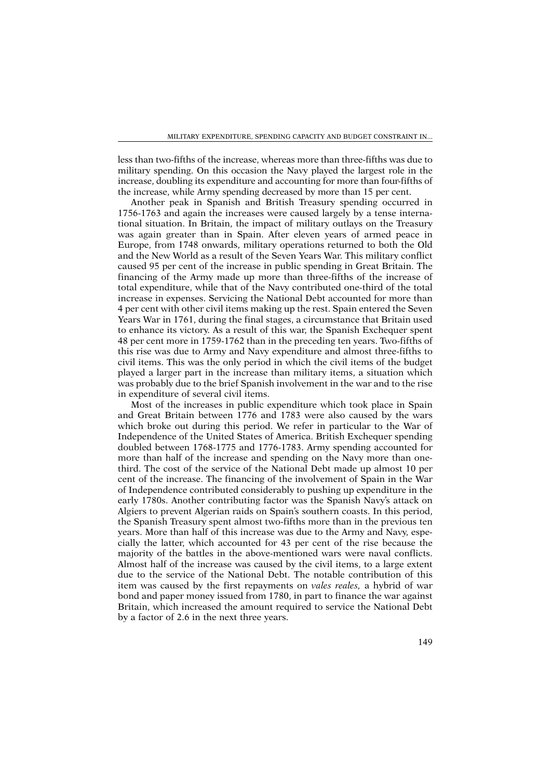less than two-fifths of the increase, whereas more than three-fifths was due to military spending. On this occasion the Navy played the largest role in the increase, doubling its expenditure and accounting for more than four-fifths of the increase, while Army spending decreased by more than 15 per cent.

Another peak in Spanish and British Treasury spending occurred in 1756-1763 and again the increases were caused largely by a tense international situation. In Britain, the impact of military outlays on the Treasury was again greater than in Spain. After eleven years of armed peace in Europe, from 1748 onwards, military operations returned to both the Old and the New World as a result of the Seven Years War. This military conflict caused 95 per cent of the increase in public spending in Great Britain. The financing of the Army made up more than three-fifths of the increase of total expenditure, while that of the Navy contributed one-third of the total increase in expenses. Servicing the National Debt accounted for more than 4 per cent with other civil items making up the rest. Spain entered the Seven Years War in 1761, during the final stages, a circumstance that Britain used to enhance its victory. As a result of this war, the Spanish Exchequer spent 48 per cent more in 1759-1762 than in the preceding ten years. Two-fifths of this rise was due to Army and Navy expenditure and almost three-fifths to civil items. This was the only period in which the civil items of the budget played a larger part in the increase than military items, a situation which was probably due to the brief Spanish involvement in the war and to the rise in expenditure of several civil items.

Most of the increases in public expenditure which took place in Spain and Great Britain between 1776 and 1783 were also caused by the wars which broke out during this period. We refer in particular to the War of Independence of the United States of America. British Exchequer spending doubled between 1768-1775 and 1776-1783. Army spending accounted for more than half of the increase and spending on the Navy more than onethird. The cost of the service of the National Debt made up almost 10 per cent of the increase. The financing of the involvement of Spain in the War of Independence contributed considerably to pushing up expenditure in the early 1780s. Another contributing factor was the Spanish Navy's attack on Algiers to prevent Algerian raids on Spain's southern coasts. In this period, the Spanish Treasury spent almost two-fifths more than in the previous ten years. More than half of this increase was due to the Army and Navy, especially the latter, which accounted for 43 per cent of the rise because the majority of the battles in the above-mentioned wars were naval conflicts. Almost half of the increase was caused by the civil items, to a large extent due to the service of the National Debt. The notable contribution of this item was caused by the first repayments on *vales reales,* a hybrid of war bond and paper money issued from 1780, in part to finance the war against Britain, which increased the amount required to service the National Debt by a factor of 2.6 in the next three years.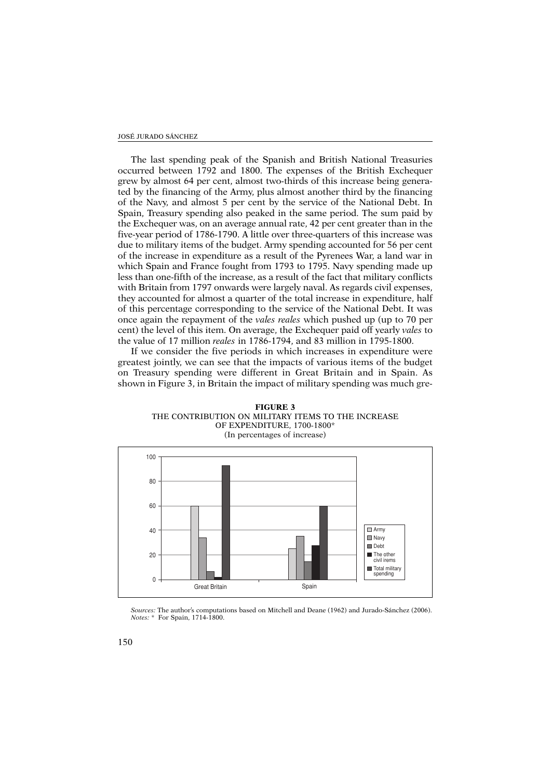#### JOSÉ JURADO SÁNCHEZ

The last spending peak of the Spanish and British National Treasuries occurred between 1792 and 1800. The expenses of the British Exchequer grew by almost 64 per cent, almost two-thirds of this increase being generated by the financing of the Army, plus almost another third by the financing of the Navy, and almost 5 per cent by the service of the National Debt. In Spain, Treasury spending also peaked in the same period. The sum paid by the Exchequer was, on an average annual rate, 42 per cent greater than in the five-year period of 1786-1790. A little over three-quarters of this increase was due to military items of the budget. Army spending accounted for 56 per cent of the increase in expenditure as a result of the Pyrenees War, a land war in which Spain and France fought from 1793 to 1795. Navy spending made up less than one-fifth of the increase, as a result of the fact that military conflicts with Britain from 1797 onwards were largely naval. As regards civil expenses, they accounted for almost a quarter of the total increase in expenditure, half of this percentage corresponding to the service of the National Debt. It was once again the repayment of the *vales reales* which pushed up (up to 70 per cent) the level of this item. On average, the Exchequer paid off yearly *vales* to the value of 17 million *reales* in 1786-1794, and 83 million in 1795-1800.

If we consider the five periods in which increases in expenditure were greatest jointly, we can see that the impacts of various items of the budget on Treasury spending were different in Great Britain and in Spain. As shown in Figure 3, in Britain the impact of military spending was much gre-





*Sources:* The author's computations based on Mitchell and Deane (1962) and Jurado-Sánchez (2006). *Notes:* \* For Spain, 1714-1800.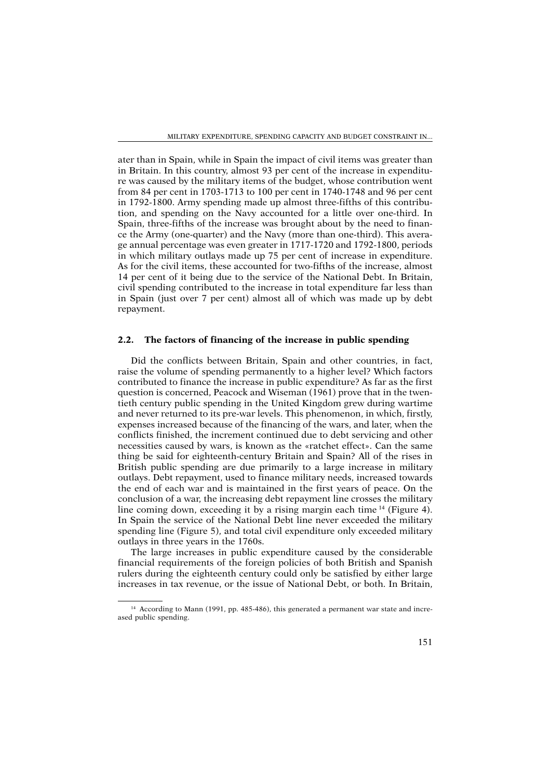ater than in Spain, while in Spain the impact of civil items was greater than in Britain. In this country, almost 93 per cent of the increase in expenditure was caused by the military items of the budget, whose contribution went from 84 per cent in 1703-1713 to 100 per cent in 1740-1748 and 96 per cent in 1792-1800. Army spending made up almost three-fifths of this contribution, and spending on the Navy accounted for a little over one-third. In Spain, three-fifths of the increase was brought about by the need to finance the Army (one-quarter) and the Navy (more than one-third). This average annual percentage was even greater in 1717-1720 and 1792-1800, periods in which military outlays made up 75 per cent of increase in expenditure. As for the civil items, these accounted for two-fifths of the increase, almost 14 per cent of it being due to the service of the National Debt. In Britain, civil spending contributed to the increase in total expenditure far less than in Spain (just over 7 per cent) almost all of which was made up by debt repayment.

## **2.2. The factors of financing of the increase in public spending**

Did the conflicts between Britain, Spain and other countries, in fact, raise the volume of spending permanently to a higher level? Which factors contributed to finance the increase in public expenditure? As far as the first question is concerned. Peacock and Wiseman  $(1961)$  prove that in the twentieth century public spending in the United Kingdom grew during wartime and never returned to its pre-war levels. This phenomenon, in which, firstly, expenses increased because of the financing of the wars, and later, when the conflicts finished, the increment continued due to debt servicing and other necessities caused by wars, is known as the «ratchet effect». Can the same thing be said for eighteenth-century Britain and Spain? All of the rises in British public spending are due primarily to a large increase in military outlays. Debt repayment, used to finance military needs, increased towards the end of each war and is maintained in the first years of peace. On the conclusion of a war, the increasing debt repayment line crosses the military line coming down, exceeding it by a rising margin each time <sup>14</sup> (Figure 4). In Spain the service of the National Debt line never exceeded the military spending line (Figure 5), and total civil expenditure only exceeded military outlays in three years in the 1760s.

The large increases in public expenditure caused by the considerable financial requirements of the foreign policies of both British and Spanish rulers during the eighteenth century could only be satisfied by either large increases in tax revenue, or the issue of National Debt, or both. In Britain,

<sup>&</sup>lt;sup>14</sup> According to Mann (1991, pp. 485-486), this generated a permanent war state and increased public spending.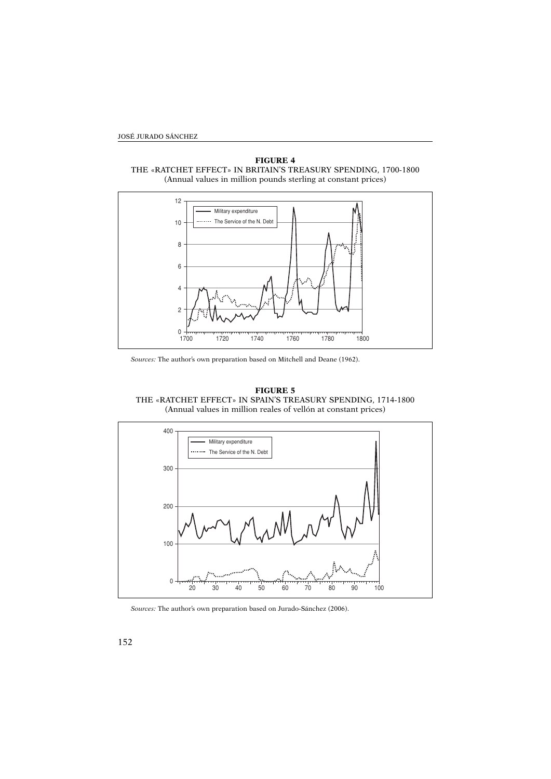



*Sources:* The author's own preparation based on Mitchell and Deane (1962).

**FIGURE 5** THE «RATCHET EFFECT» IN SPAIN'S TREASURY SPENDING, 1714-1800 (Annual values in million reales of vellón at constant prices)



*Sources:* The author's own preparation based on Jurado-Sánchez (2006).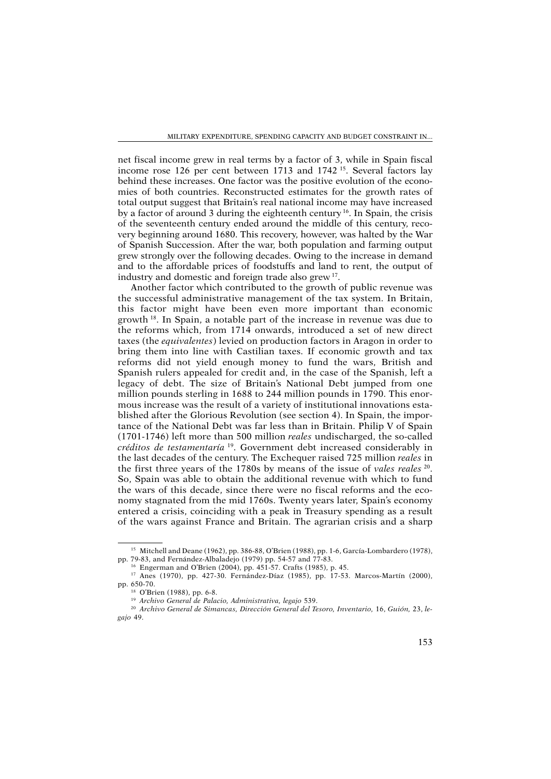net fiscal income grew in real terms by a factor of 3, while in Spain fiscal income rose 126 per cent between 1713 and 1742 15. Several factors lay behind these increases. One factor was the positive evolution of the economies of both countries. Reconstructed estimates for the growth rates of total output suggest that Britain's real national income may have increased by a factor of around 3 during the eighteenth century 16. In Spain, the crisis of the seventeenth century ended around the middle of this century, recovery beginning around 1680. This recovery, however, was halted by the War of Spanish Succession. After the war, both population and farming output grew strongly over the following decades. Owing to the increase in demand and to the affordable prices of foodstuffs and land to rent, the output of industry and domestic and foreign trade also grew 17.

Another factor which contributed to the growth of public revenue was the successful administrative management of the tax system. In Britain, this factor might have been even more important than economic growth 18. In Spain, a notable part of the increase in revenue was due to the reforms which, from 1714 onwards, introduced a set of new direct taxes (the *equivalentes*) levied on production factors in Aragon in order to bring them into line with Castilian taxes. If economic growth and tax reforms did not yield enough money to fund the wars, British and Spanish rulers appealed for credit and, in the case of the Spanish, left a legacy of debt. The size of Britain's National Debt jumped from one million pounds sterling in 1688 to 244 million pounds in 1790. This enormous increase was the result of a variety of institutional innovations established after the Glorious Revolution (see section 4). In Spain, the importance of the National Debt was far less than in Britain. Philip V of Spain (1701-1746) left more than 500 million *reales* undischarged, the so-called *créditos de testamentaría* 19. Government debt increased considerably in the last decades of the century. The Exchequer raised 725 million *reales* in the first three years of the 1780s by means of the issue of *vales reales* 20. So, Spain was able to obtain the additional revenue with which to fund the wars of this decade, since there were no fiscal reforms and the economy stagnated from the mid 1760s. Twenty years later, Spain's economy entered a crisis, coinciding with a peak in Treasury spending as a result of the wars against France and Britain. The agrarian crisis and a sharp

<sup>15</sup> Mitchell and Deane (1962), pp. 386-88, O'Brien (1988), pp. 1-6, García-Lombardero (1978), pp. 79-83, and Fernández-Albaladejo (1979) pp. 54-57 and 77-83.

<sup>16</sup> Engerman and O'Brien (2004), pp. 451-57. Crafts (1985), p. 45.

<sup>17</sup> Anes (1970), pp. 427-30. Fernández-Díaz (1985), pp. 17-53. Marcos-Martín (2000), pp. 650-70.

<sup>&</sup>lt;sup>3</sup> O'Brien (1988), pp. 6-8.

<sup>19</sup> *Archivo General de Palacio, Administrativa, legajo* 539.

<sup>20</sup> *Archivo General de Simancas, Dirección General del Tesoro, Inventario,* 16, *Guión,* 23, *legajo* 49.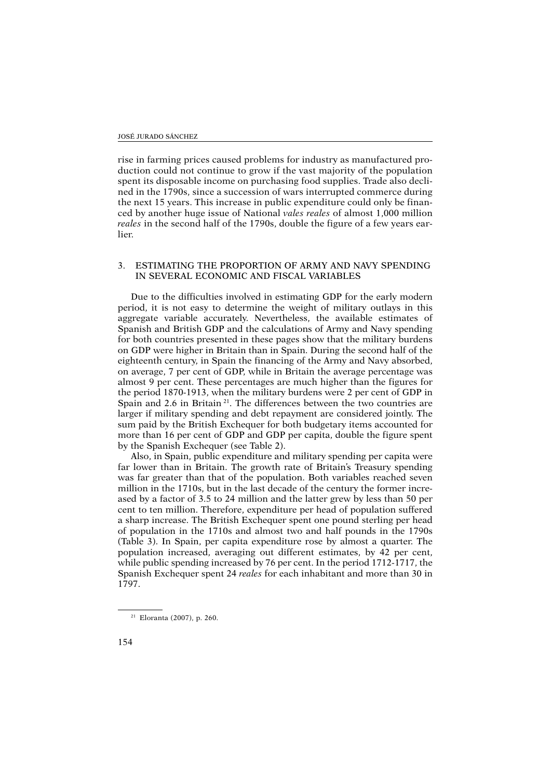rise in farming prices caused problems for industry as manufactured production could not continue to grow if the vast majority of the population spent its disposable income on purchasing food supplies. Trade also declined in the 1790s, since a succession of wars interrupted commerce during the next 15 years. This increase in public expenditure could only be financed by another huge issue of National *vales reales* of almost 1,000 million *reales* in the second half of the 1790s, double the figure of a few years earlier.

#### 3. ESTIMATING THE PROPORTION OF ARMY AND NAVY SPENDING IN SEVERAL ECONOMIC AND FISCAL VARIABLES

Due to the difficulties involved in estimating GDP for the early modern period, it is not easy to determine the weight of military outlays in this aggregate variable accurately. Nevertheless, the available estimates of Spanish and British GDP and the calculations of Army and Navy spending for both countries presented in these pages show that the military burdens on GDP were higher in Britain than in Spain. During the second half of the eighteenth century, in Spain the financing of the Army and Navy absorbed, on average, 7 per cent of GDP, while in Britain the average percentage was almost 9 per cent. These percentages are much higher than the figures for the period 1870-1913, when the military burdens were 2 per cent of GDP in Spain and 2.6 in Britain<sup>21</sup>. The differences between the two countries are larger if military spending and debt repayment are considered jointly. The sum paid by the British Exchequer for both budgetary items accounted for more than 16 per cent of GDP and GDP per capita, double the figure spent by the Spanish Exchequer (see Table 2).

Also, in Spain, public expenditure and military spending per capita were far lower than in Britain. The growth rate of Britain's Treasury spending was far greater than that of the population. Both variables reached seven million in the 1710s, but in the last decade of the century the former increased by a factor of 3.5 to 24 million and the latter grew by less than 50 per cent to ten million. Therefore, expenditure per head of population suffered a sharp increase. The British Exchequer spent one pound sterling per head of population in the 1710s and almost two and half pounds in the 1790s (Table 3). In Spain, per capita expenditure rose by almost a quarter. The population increased, averaging out different estimates, by 42 per cent, while public spending increased by 76 per cent. In the period 1712-1717, the Spanish Exchequer spent 24 *reales* for each inhabitant and more than 30 in 1797.

<sup>21</sup> Eloranta (2007), p. 260.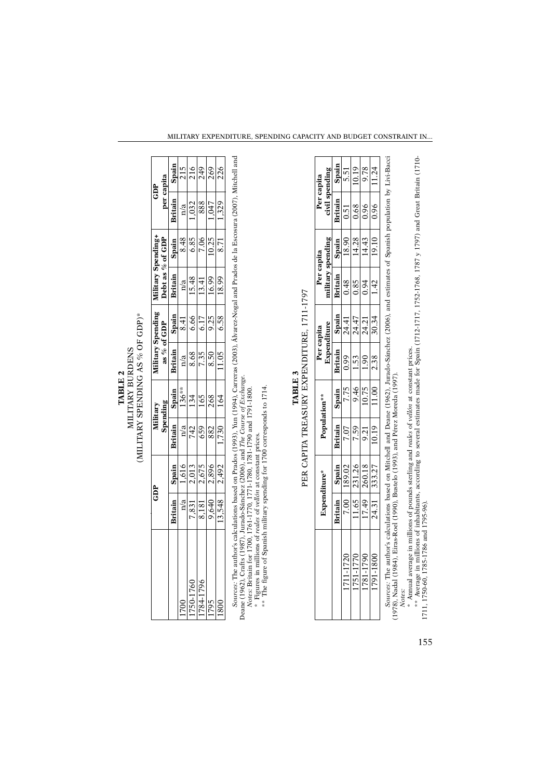|           |                                            | GDP                   |                | <b>Military</b><br>Spending |                      | Military Spending<br>as % of GDP                                               | Military Spending+<br>Debt as % of GDP<br>Britain Spain<br>$\frac{1}{\pi}$<br>$\frac{1}{\pi}$<br>$\frac{8.48}{6.85}$<br>$\frac{8.48}{15.48}$<br>$\frac{8.48}{7.06}$ |       | per capita<br>GDP                                                                                        |                                                                                           |
|-----------|--------------------------------------------|-----------------------|----------------|-----------------------------|----------------------|--------------------------------------------------------------------------------|---------------------------------------------------------------------------------------------------------------------------------------------------------------------|-------|----------------------------------------------------------------------------------------------------------|-------------------------------------------------------------------------------------------|
|           | Britain                                    | Spain                 | <b>Britain</b> | Spain                       | <b>Britain</b>       |                                                                                |                                                                                                                                                                     |       |                                                                                                          |                                                                                           |
| 1700      | n/a                                        |                       | n/a            |                             |                      | $rac{\text{Spin}}{8.41}$ $rac{8,41}{6,66}$ $rac{6,60}{6,17}$ $rac{9,25}{6,58}$ | <b>Britain</b><br>$\frac{n/a}{15.48}$<br>$\frac{15.49}{13.41}$<br>$\frac{16.99}{18.99}$                                                                             |       | $\begin{array}{r}\n\textbf{Britain} \\ \hline\n\begin{array}{r}\n1/3 \\ 1.032\n\end{array}\n\end{array}$ |                                                                                           |
| 1750-1760 |                                            | $\frac{1,616}{2,013}$ | 742            | $\frac{136**}{134}$         | $\frac{n/a}{8.68}$   |                                                                                |                                                                                                                                                                     |       |                                                                                                          | $\frac{\text{Spin}}{215}$ $\frac{1}{216}$ $\frac{1}{218}$ $\frac{1}{218}$ $\frac{1}{218}$ |
| 1784-1796 | $\frac{7,831}{8,181}$<br>$\frac{6}{9,548}$ | 2,675                 | 659            |                             |                      |                                                                                |                                                                                                                                                                     |       |                                                                                                          |                                                                                           |
| 1795      |                                            | 2,896                 | 882            | $\frac{268}{164}$           | $\frac{8.50}{11.05}$ |                                                                                |                                                                                                                                                                     | 10.25 | 1,047                                                                                                    |                                                                                           |
| 1800      |                                            | 2,492                 | 1,730          |                             |                      |                                                                                |                                                                                                                                                                     | 8.71  | 1,329                                                                                                    |                                                                                           |
|           |                                            |                       |                |                             |                      |                                                                                |                                                                                                                                                                     |       |                                                                                                          |                                                                                           |

(MILITARY SPENDING AS % OF GDP)\* (MILITARY SPENDING AS % OF GDP)\* MILITARY BURDENS MILITARY BURDENS TABLE 2 **TABLE 2**

*Sources*: The author's calculations based on Prados (1993), Yun (1994), Carreras (2003), Álvarez-Nogal and Prados de la Escosura (2007), Mitchell and<br>Deane (1962), Crafts (1987), Jurado-Sánchez (2006), and *The Course of Sources:* The author's calculations based on Prados (1993), Yun (1994), Carreras (2003), Álvarez-Nogal and Prados de la Escosura (2007), Mitchell and Deane (1962), Crafts (1987), Jurado-Sánchez (2006), and *The Course of Exchange.*

*Notes:* Britain for 1700, 1761-1770, 1771-1780, 1781-1790 and 1791-1800.

\* Figures in millions of *reales* of *vellón* at constant prices.

\*\* The figure of Spanish military spending for 1700 corresponds to 1714.

|           | エンエッ ティア<br>Ï                                                                                                                                             |
|-----------|-----------------------------------------------------------------------------------------------------------------------------------------------------------|
| י הוחות ה | <b>The Contract of the Second Property</b><br>i<br>i<br>$C$ in $\tilde{C}$<br>りりりり<br>in Fig. The Little of the Little<br>ı<br>ĺ<br>ï<br>r<br>F<br>ı<br>j |

|          |                       | Expenditure* |         | Population** |               | Expenditure<br>Per capita | military spending<br>Per capita |                             |                                 | civil spending<br>Per capita |
|----------|-----------------------|--------------|---------|--------------|---------------|---------------------------|---------------------------------|-----------------------------|---------------------------------|------------------------------|
|          | Britain               | Spain        | Britain | Spain        | Britain       |                           | <b>Britain</b>                  |                             |                                 | <b>Spain</b>                 |
| 711-1720 | 7.00                  |              | 7.07    | 7.75         | $\frac{1}{2}$ | $\frac{\sin 41}{2447}$    | $\frac{3}{10.85}$               | $\frac{\text{Spin}}{18.90}$ | $\frac{\textbf{British}}{0.51}$ | 5.51                         |
| 751-1770 | $\frac{11.65}{17.49}$ | 189.02       | 7.59    | 9.46         |               |                           |                                 | $\frac{14.28}{14.43}$       | 0.68                            | 0.19                         |
| 781-1790 |                       | 260.18       | 9.21    | 10.75        | 1.90          |                           | 0.94                            |                             | 0.96                            | 9.78                         |
| 791-1800 | 24.31                 | 333.27       | 10.19   | 11.00        | 2.38          | 30.34                     | 1.42                            | 19.10                       | 0.96                            | 11.24                        |
|          |                       |              |         |              |               |                           |                                 |                             |                                 |                              |

Sources: The author's calculations based on Mitchell and Deane (1962), Jurado-Sánchez (2006), and estimates of Spanish population by Livi-Bacci<br>(1978), Nadal (1984), Eiras-Roel (1990), Bustelo (1993), and Pérez Moreda (199 *Sources:* The author's calculations based on Mitchell and Deane (1962), Jurado-Sánchez (2006), and estimates of Spanish population by Livi-Bacci (1978), Nadal (1984), Eiras-Roel (1990), Bustelo (1993), and Pérez Moreda (1997).

\* Annual average in millions of pounds sterling and *reales* of *vellón* at constant prices.

*Notes:*<br>\* Annual average in millions of pounds sterling and *reales of vellón a*t constant prices.<br>\*\* Average in millions of inhabitants, according to several estimates made for Spain (1712-1717, 1752-1768, 1787 y 1797) a \*\* Average in millions of inhabitants, according to several estimates made for Spain (1712-1717, 1752-1768, 1787 y 1797) and Great Britain (1710- 1711, 1750-60, 1785-1786 and 1795-96).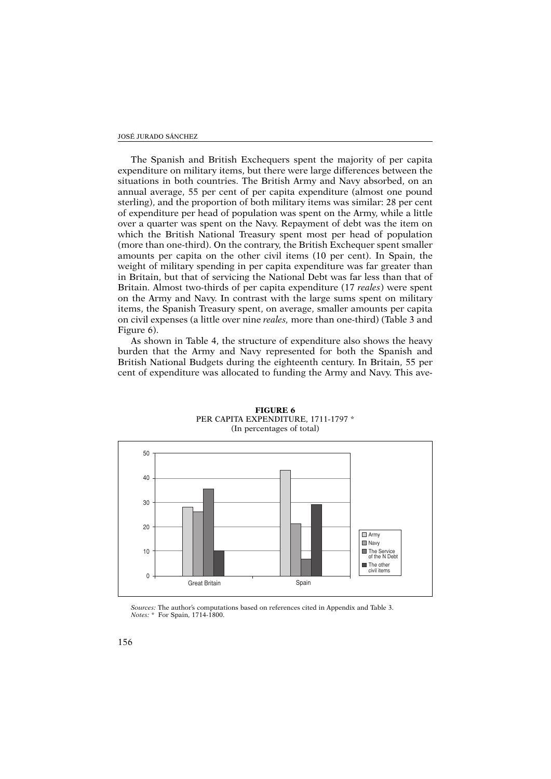The Spanish and British Exchequers spent the majority of per capita expenditure on military items, but there were large differences between the situations in both countries. The British Army and Navy absorbed, on an annual average, 55 per cent of per capita expenditure (almost one pound sterling), and the proportion of both military items was similar: 28 per cent of expenditure per head of population was spent on the Army, while a little over a quarter was spent on the Navy. Repayment of debt was the item on which the British National Treasury spent most per head of population (more than one-third). On the contrary, the British Exchequer spent smaller amounts per capita on the other civil items (10 per cent). In Spain, the weight of military spending in per capita expenditure was far greater than in Britain, but that of servicing the National Debt was far less than that of Britain. Almost two-thirds of per capita expenditure (17 *reales*) were spent on the Army and Navy. In contrast with the large sums spent on military items, the Spanish Treasury spent, on average, smaller amounts per capita on civil expenses (a little over nine *reales,* more than one-third) (Table 3 and Figure 6).

As shown in Table 4, the structure of expenditure also shows the heavy burden that the Army and Navy represented for both the Spanish and British National Budgets during the eighteenth century. In Britain, 55 per cent of expenditure was allocated to funding the Army and Navy. This ave-



**FIGURE 6** PER CAPITA EXPENDITURE, 1711-1797 \* (In percentages of total)

*Sources:* The author's computations based on references cited in Appendix and Table 3. *Notes:* \* For Spain, 1714-1800.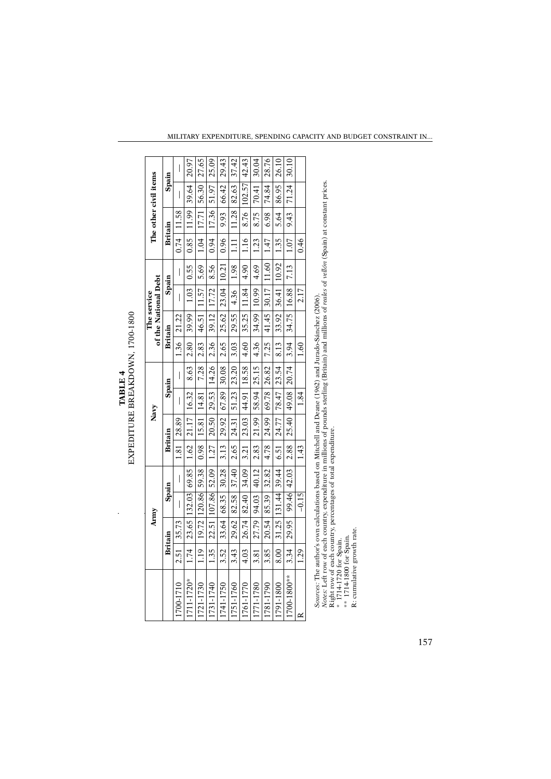|             |      |                | Army                    |                          |                                                                                          |               | Navy          |                          |                     | of the National Debt<br>The service |               |       |         |       | The other civil items    |       |
|-------------|------|----------------|-------------------------|--------------------------|------------------------------------------------------------------------------------------|---------------|---------------|--------------------------|---------------------|-------------------------------------|---------------|-------|---------|-------|--------------------------|-------|
|             |      | <b>Britain</b> | Spain                   |                          |                                                                                          | Britain       |               | Spain                    | <b>Britain</b>      |                                     |               | Spain | Britain |       |                          | Spain |
| 1700-1710   | 2.51 | 35.73          | I                       | $\overline{\phantom{a}}$ | 1.81                                                                                     | 28.89         | I             | $\overline{\phantom{a}}$ | 1.36                | 21.22                               | I             | I     | 0.74    | 11.58 | $\overline{\phantom{a}}$ | I     |
| 1711-1720*  | 1.74 | 23.65          | 132.03                  | 69.85                    | 1.62                                                                                     | 21.17         | 16.32         | 8.63                     | 2.80                | 39.99                               | 1.03          | 0.55  | 0.85    | 11.99 | 39.64                    | 20.97 |
| 1721-1730   | 1.19 | 19.72          | 120.86 59.38            |                          | 0.98                                                                                     | 15.81         | 14.81         | 7.28                     | 2.83                | 46.51                               | 11.57         | 5.69  | 1.04    | 17.71 | 56.30                    | 27.65 |
| 1731-1740   | 1.35 | 22.51          | 107.86 52.09            |                          | 1.27                                                                                     | 20.50         | 29.53         | 14.26                    | 2.36                | 39.12                               | 17.72         | 8.56  | 0.94    | 17.36 | 51.97                    | 25.09 |
| 1741-1750   | 3.52 | 33.64          | 68.35                   | 30.28                    | 3.13                                                                                     | 29.92         | 67.89         | 30.08                    | 2.65                | 25.62                               | 23.04         | 10.21 | 0.96    | 9.93  | 66.42                    | 29.43 |
| 1751-1760   | 3.43 |                | $29.62$   82.58   37.40 |                          | 2.65                                                                                     | 24.31         | 51.23         | 23.20                    | 3.03                | 29.55                               | 4.36          | 1.98  | 1.11    | 11.28 | 82.63                    | 37.42 |
| 1761-1770   | 4.03 | 26.74          | 82.40                   | 34.09                    | 3.21                                                                                     | 23.03         | 44.91         | 18.58                    | 4.60                | 35.25                               | 11.84         | 4.90  | 1.16    | 8.76  | 102.57                   | 42.43 |
| 1771-1780   | 3.81 | 27.79          | 94.03                   | 40.12                    | 2.83                                                                                     | 21.99         | 58.94         | 25.15                    | 4.36                | 34.99                               | 10.99         | 4.69  | 1.23    | 8.75  | 70.41                    | 30.04 |
| 1781-1790   | 3.85 |                | $20.54$ 85.39           | 32.82                    | 4.78                                                                                     | 24.99         |               | 69.78 26.82              | 7.25                | 41.45                               | 30.17         | 11.60 | 1.47    | 6.98  | 74.84                    | 28.76 |
| 1791-1800   | 8.00 | 31.25          | 131.44                  | 39.44                    | 6.51                                                                                     | 24.77         | 78.47         | 23.54                    | 8.13                | 33.92                               | 36.41         | 10.92 | 1.35    | 5.64  | 86.95                    | 26.10 |
| 1700-1800** | 3.34 | 29.95          | 99.46                   | 42.03                    | 2.88                                                                                     | 25.40         | 49.08         | 20.74                    | 3.94                | 34.75                               | 16.88         | 7.13  | 1.07    | 9.43  | 71.24                    | 30.10 |
| ≃           | 1.29 |                | $-0.15$                 |                          | 143                                                                                      |               | 1.84          |                          | 1.60                |                                     | 2.17          |       | 0.46    |       |                          |       |
| Ĩ           |      |                | $\ddot{\phantom{0}}$    | j                        | $\ddot{a}$ , $\ddot{a}$ , $\ddot{a}$ , $\ddot{a}$ , $\ddot{a}$ , $\ddot{a}$ , $\ddot{a}$ | $\frac{1}{2}$ | $\frac{1}{2}$ |                          | - 14<br>- 14<br>- 1 |                                     | $\frac{1}{2}$ |       |         |       |                          |       |

 $\begin{tabular}{ll} \bf{TABLE~4} \\ \bf{EXPEDTTURE~BREAKDOWN,~1700-1800} \end{tabular}$ EXPEDITURE BREAKDOWN, 1700-1800 **TABLE 4**

 $\ddot{\phantom{a}}$ 

*Sources:* The author's own calculations based on Mitchell and Deane (1962) and Jurado-Sánchez (2006).<br>*Notes: L*eft row of each country, expenditure in millions of pounds sterling (Britain) and millions of *reales* of v*e Notes:* Left row of each country, expenditure in millions of pounds sterling (Britain) and millions of *reales* of *vellón* (Spain) at constant prices. *Sources:* The author's own calculations based on Mitchell and Deane (1962) and Jurado-Sánchez (2006). Right row of each country, percentages of total expenditure.

\* 1714-1720 for Spain.

\*\* 1714-1800 for Spain.

R: cumulative growth rate.

MILITARY EXPENDITURE, SPENDING CAPACITY AND BUDGET CONSTRAINT IN...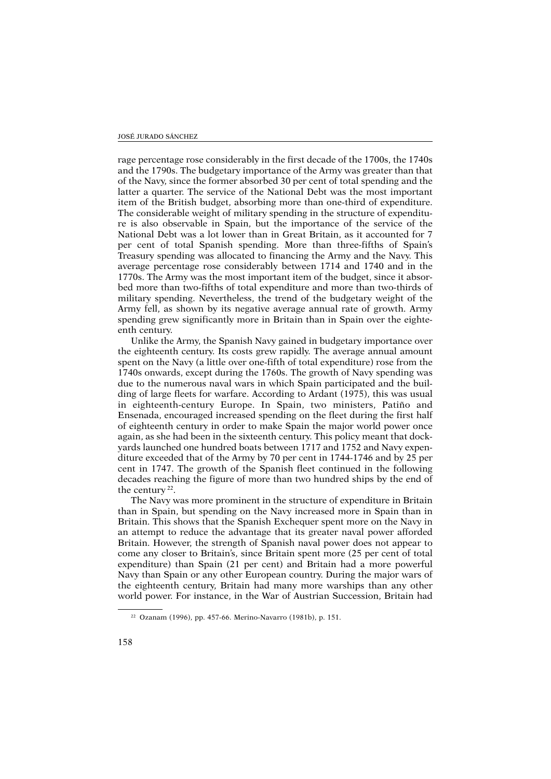rage percentage rose considerably in the first decade of the 1700s, the 1740s and the 1790s. The budgetary importance of the Army was greater than that of the Navy, since the former absorbed 30 per cent of total spending and the latter a quarter. The service of the National Debt was the most important item of the British budget, absorbing more than one-third of expenditure. The considerable weight of military spending in the structure of expenditure is also observable in Spain, but the importance of the service of the National Debt was a lot lower than in Great Britain, as it accounted for 7 per cent of total Spanish spending. More than three-fifths of Spain's Treasury spending was allocated to financing the Army and the Navy. This average percentage rose considerably between 1714 and 1740 and in the 1770s. The Army was the most important item of the budget, since it absorbed more than two-fifths of total expenditure and more than two-thirds of military spending. Nevertheless, the trend of the budgetary weight of the Army fell, as shown by its negative average annual rate of growth. Army spending grew significantly more in Britain than in Spain over the eighteenth century.

Unlike the Army, the Spanish Navy gained in budgetary importance over the eighteenth century. Its costs grew rapidly. The average annual amount spent on the Navy (a little over one-fifth of total expenditure) rose from the 1740s onwards, except during the 1760s. The growth of Navy spending was due to the numerous naval wars in which Spain participated and the building of large fleets for warfare. According to Ardant (1975), this was usual in eighteenth-century Europe. In Spain, two ministers, Patiño and Ensenada, encouraged increased spending on the fleet during the first half of eighteenth century in order to make Spain the major world power once again, as she had been in the sixteenth century. This policy meant that dockyards launched one hundred boats between 1717 and 1752 and Navy expenditure exceeded that of the Army by 70 per cent in 1744-1746 and by 25 per cent in 1747. The growth of the Spanish fleet continued in the following decades reaching the figure of more than two hundred ships by the end of the century 22.

The Navy was more prominent in the structure of expenditure in Britain than in Spain, but spending on the Navy increased more in Spain than in Britain. This shows that the Spanish Exchequer spent more on the Navy in an attempt to reduce the advantage that its greater naval power afforded Britain. However, the strength of Spanish naval power does not appear to come any closer to Britain's, since Britain spent more (25 per cent of total expenditure) than Spain (21 per cent) and Britain had a more powerful Navy than Spain or any other European country. During the major wars of the eighteenth century, Britain had many more warships than any other world power. For instance, in the War of Austrian Succession, Britain had

<sup>22</sup> Ozanam (1996), pp. 457-66. Merino-Navarro (1981b), p. 151.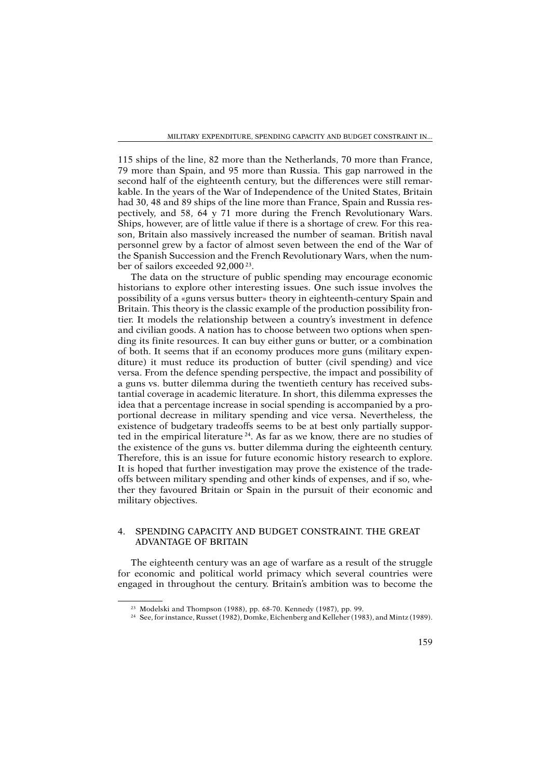115 ships of the line, 82 more than the Netherlands, 70 more than France, 79 more than Spain, and 95 more than Russia. This gap narrowed in the second half of the eighteenth century, but the differences were still remarkable. In the years of the War of Independence of the United States, Britain had 30, 48 and 89 ships of the line more than France, Spain and Russia respectively, and 58, 64 y 71 more during the French Revolutionary Wars. Ships, however, are of little value if there is a shortage of crew. For this reason, Britain also massively increased the number of seaman. British naval personnel grew by a factor of almost seven between the end of the War of the Spanish Succession and the French Revolutionary Wars, when the number of sailors exceeded 92,000 23.

The data on the structure of public spending may encourage economic historians to explore other interesting issues. One such issue involves the possibility of a «guns versus butter» theory in eighteenth-century Spain and Britain. This theory is the classic example of the production possibility frontier. It models the relationship between a country's investment in defence and civilian goods. A nation has to choose between two options when spending its finite resources. It can buy either guns or butter, or a combination of both. It seems that if an economy produces more guns (military expenditure) it must reduce its production of butter (civil spending) and vice versa. From the defence spending perspective, the impact and possibility of a guns vs. butter dilemma during the twentieth century has received substantial coverage in academic literature. In short, this dilemma expresses the idea that a percentage increase in social spending is accompanied by a proportional decrease in military spending and vice versa. Nevertheless, the existence of budgetary tradeoffs seems to be at best only partially supported in the empirical literature 24. As far as we know, there are no studies of the existence of the guns vs. butter dilemma during the eighteenth century. Therefore, this is an issue for future economic history research to explore. It is hoped that further investigation may prove the existence of the tradeoffs between military spending and other kinds of expenses, and if so, whether they favoured Britain or Spain in the pursuit of their economic and military objectives.

## 4. SPENDING CAPACITY AND BUDGET CONSTRAINT. THE GREAT ADVANTAGE OF BRITAIN

The eighteenth century was an age of warfare as a result of the struggle for economic and political world primacy which several countries were engaged in throughout the century. Britain's ambition was to become the

<sup>23</sup> Modelski and Thompson (1988), pp. 68-70. Kennedy (1987), pp. 99.

<sup>24</sup> See, for instance, Russet (1982), Domke, Eichenberg and Kelleher (1983), and Mintz (1989).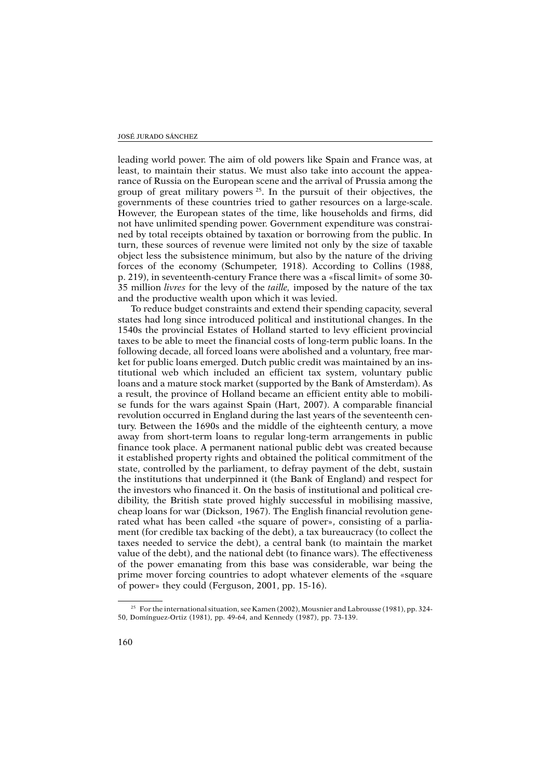#### JOSÉ JURADO SÁNCHEZ

leading world power. The aim of old powers like Spain and France was, at least, to maintain their status. We must also take into account the appearance of Russia on the European scene and the arrival of Prussia among the group of great military powers  $25$ . In the pursuit of their objectives, the governments of these countries tried to gather resources on a large-scale. However, the European states of the time, like households and firms, did not have unlimited spending power. Government expenditure was constrained by total receipts obtained by taxation or borrowing from the public. In turn, these sources of revenue were limited not only by the size of taxable object less the subsistence minimum, but also by the nature of the driving forces of the economy (Schumpeter, 1918). According to Collins (1988, p. 219), in seventeenth-century France there was a «fiscal limit» of some 30- 35 million *livres* for the levy of the *taille,* imposed by the nature of the tax and the productive wealth upon which it was levied.

To reduce budget constraints and extend their spending capacity, several states had long since introduced political and institutional changes. In the 1540s the provincial Estates of Holland started to levy efficient provincial taxes to be able to meet the financial costs of long-term public loans. In the following decade, all forced loans were abolished and a voluntary, free market for public loans emerged. Dutch public credit was maintained by an institutional web which included an efficient tax system, voluntary public loans and a mature stock market (supported by the Bank of Amsterdam). As a result, the province of Holland became an efficient entity able to mobilise funds for the wars against Spain (Hart, 2007). A comparable financial revolution occurred in England during the last years of the seventeenth century. Between the 1690s and the middle of the eighteenth century, a move away from short-term loans to regular long-term arrangements in public finance took place. A permanent national public debt was created because it established property rights and obtained the political commitment of the state, controlled by the parliament, to defray payment of the debt, sustain the institutions that underpinned it (the Bank of England) and respect for the investors who financed it. On the basis of institutional and political credibility, the British state proved highly successful in mobilising massive, cheap loans for war (Dickson, 1967). The English financial revolution generated what has been called «the square of power», consisting of a parliament (for credible tax backing of the debt), a tax bureaucracy (to collect the taxes needed to service the debt), a central bank (to maintain the market value of the debt), and the national debt (to finance wars). The effectiveness of the power emanating from this base was considerable, war being the prime mover forcing countries to adopt whatever elements of the «square of power» they could (Ferguson, 2001, pp. 15-16).

<sup>&</sup>lt;sup>25</sup> For the international situation, see Kamen (2002), Mousnier and Labrousse (1981), pp. 324-50, Domínguez-Ortiz (1981), pp. 49-64, and Kennedy (1987), pp. 73-139.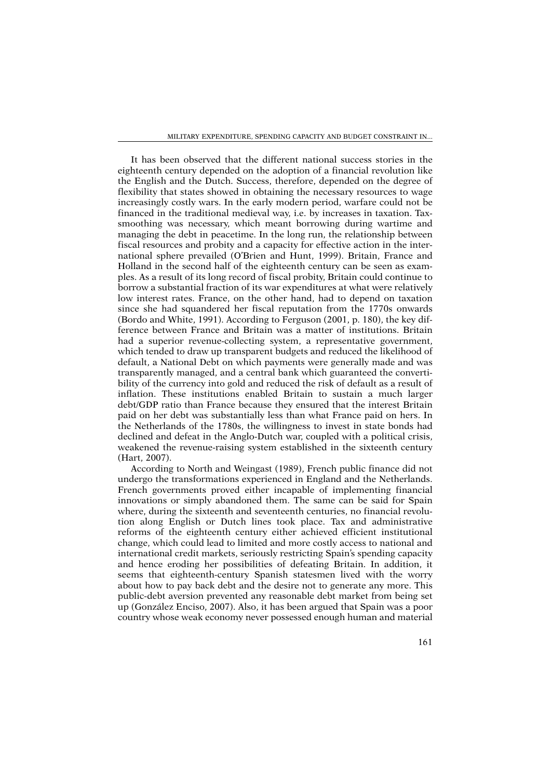It has been observed that the different national success stories in the eighteenth century depended on the adoption of a financial revolution like the English and the Dutch. Success, therefore, depended on the degree of flexibility that states showed in obtaining the necessary resources to wage increasingly costly wars. In the early modern period, warfare could not be financed in the traditional medieval way, i.e. by increases in taxation. Taxsmoothing was necessary, which meant borrowing during wartime and managing the debt in peacetime. In the long run, the relationship between fiscal resources and probity and a capacity for effective action in the international sphere prevailed (O'Brien and Hunt, 1999). Britain, France and Holland in the second half of the eighteenth century can be seen as examples. As a result of its long record of fiscal probity, Britain could continue to borrow a substantial fraction of its war expenditures at what were relatively low interest rates. France, on the other hand, had to depend on taxation since she had squandered her fiscal reputation from the 1770s onwards (Bordo and White, 1991). According to Ferguson (2001, p. 180), the key difference between France and Britain was a matter of institutions. Britain had a superior revenue-collecting system, a representative government, which tended to draw up transparent budgets and reduced the likelihood of default, a National Debt on which payments were generally made and was transparently managed, and a central bank which guaranteed the convertibility of the currency into gold and reduced the risk of default as a result of inflation. These institutions enabled Britain to sustain a much larger debt/GDP ratio than France because they ensured that the interest Britain paid on her debt was substantially less than what France paid on hers. In the Netherlands of the 1780s, the willingness to invest in state bonds had declined and defeat in the Anglo-Dutch war, coupled with a political crisis, weakened the revenue-raising system established in the sixteenth century (Hart, 2007).

According to North and Weingast (1989), French public finance did not undergo the transformations experienced in England and the Netherlands. French governments proved either incapable of implementing financial innovations or simply abandoned them. The same can be said for Spain where, during the sixteenth and seventeenth centuries, no financial revolution along English or Dutch lines took place. Tax and administrative reforms of the eighteenth century either achieved efficient institutional change, which could lead to limited and more costly access to national and international credit markets, seriously restricting Spain's spending capacity and hence eroding her possibilities of defeating Britain. In addition, it seems that eighteenth-century Spanish statesmen lived with the worry about how to pay back debt and the desire not to generate any more. This public-debt aversion prevented any reasonable debt market from being set up (González Enciso, 2007). Also, it has been argued that Spain was a poor country whose weak economy never possessed enough human and material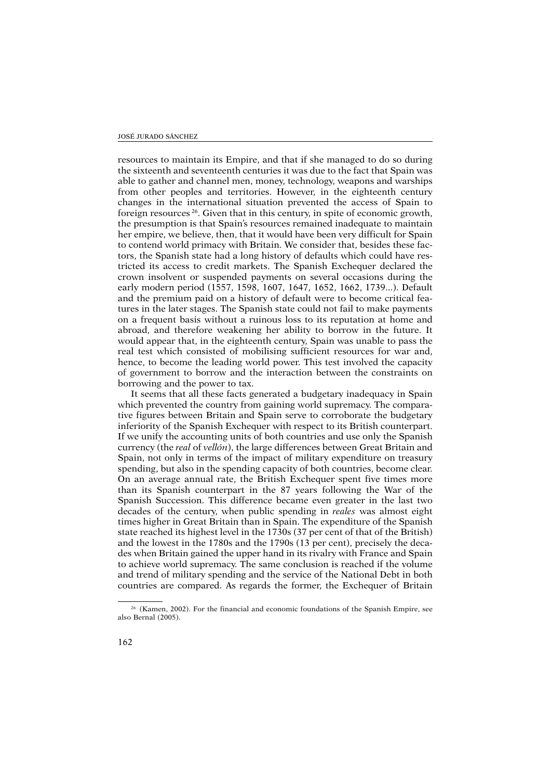#### JOSÉ JURADO SÁNCHEZ

resources to maintain its Empire, and that if she managed to do so during the sixteenth and seventeenth centuries it was due to the fact that Spain was able to gather and channel men, money, technology, weapons and warships from other peoples and territories. However, in the eighteenth century changes in the international situation prevented the access of Spain to foreign resources 26. Given that in this century, in spite of economic growth, the presumption is that Spain's resources remained inadequate to maintain her empire, we believe, then, that it would have been very difficult for Spain to contend world primacy with Britain. We consider that, besides these factors, the Spanish state had a long history of defaults which could have restricted its access to credit markets. The Spanish Exchequer declared the crown insolvent or suspended payments on several occasions during the early modern period (1557, 1598, 1607, 1647, 1652, 1662, 1739...). Default and the premium paid on a history of default were to become critical features in the later stages. The Spanish state could not fail to make payments on a frequent basis without a ruinous loss to its reputation at home and abroad, and therefore weakening her ability to borrow in the future. It would appear that, in the eighteenth century, Spain was unable to pass the real test which consisted of mobilising sufficient resources for war and, hence, to become the leading world power. This test involved the capacity of government to borrow and the interaction between the constraints on borrowing and the power to tax.

It seems that all these facts generated a budgetary inadequacy in Spain which prevented the country from gaining world supremacy. The comparative figures between Britain and Spain serve to corroborate the budgetary inferiority of the Spanish Exchequer with respect to its British counterpart. If we unify the accounting units of both countries and use only the Spanish currency (the *real* of *vellón*), the large differences between Great Britain and Spain, not only in terms of the impact of military expenditure on treasury spending, but also in the spending capacity of both countries, become clear. On an average annual rate, the British Exchequer spent five times more than its Spanish counterpart in the 87 years following the War of the Spanish Succession. This difference became even greater in the last two decades of the century, when public spending in *reales* was almost eight times higher in Great Britain than in Spain. The expenditure of the Spanish state reached its highest level in the 1730s (37 per cent of that of the British) and the lowest in the 1780s and the 1790s (13 per cent), precisely the decades when Britain gained the upper hand in its rivalry with France and Spain to achieve world supremacy. The same conclusion is reached if the volume and trend of military spending and the service of the National Debt in both countries are compared. As regards the former, the Exchequer of Britain

<sup>&</sup>lt;sup>26</sup> (Kamen, 2002). For the financial and economic foundations of the Spanish Empire, see also Bernal (2005).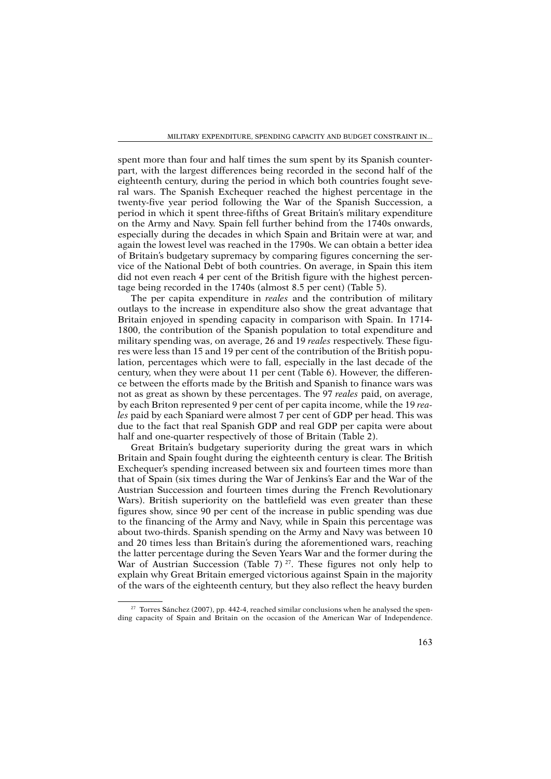spent more than four and half times the sum spent by its Spanish counterpart, with the largest differences being recorded in the second half of the eighteenth century, during the period in which both countries fought several wars. The Spanish Exchequer reached the highest percentage in the twenty-five year period following the War of the Spanish Succession, a period in which it spent three-fifths of Great Britain's military expenditure on the Army and Navy. Spain fell further behind from the 1740s onwards, especially during the decades in which Spain and Britain were at war, and again the lowest level was reached in the 1790s. We can obtain a better idea of Britain's budgetary supremacy by comparing figures concerning the service of the National Debt of both countries. On average, in Spain this item did not even reach 4 per cent of the British figure with the highest percentage being recorded in the 1740s (almost 8.5 per cent) (Table 5).

The per capita expenditure in *reales* and the contribution of military outlays to the increase in expenditure also show the great advantage that Britain enjoyed in spending capacity in comparison with Spain. In 1714- 1800, the contribution of the Spanish population to total expenditure and military spending was, on average, 26 and 19 *reales* respectively. These figures were less than 15 and 19 per cent of the contribution of the British population, percentages which were to fall, especially in the last decade of the century, when they were about 11 per cent (Table 6). However, the difference between the efforts made by the British and Spanish to finance wars was not as great as shown by these percentages. The 97 *reales* paid, on average, by each Briton represented 9 per cent of per capita income, while the 19 *reales* paid by each Spaniard were almost 7 per cent of GDP per head. This was due to the fact that real Spanish GDP and real GDP per capita were about half and one-quarter respectively of those of Britain (Table 2).

Great Britain's budgetary superiority during the great wars in which Britain and Spain fought during the eighteenth century is clear. The British Exchequer's spending increased between six and fourteen times more than that of Spain (six times during the War of Jenkins's Ear and the War of the Austrian Succession and fourteen times during the French Revolutionary Wars). British superiority on the battlefield was even greater than these figures show, since 90 per cent of the increase in public spending was due to the financing of the Army and Navy, while in Spain this percentage was about two-thirds. Spanish spending on the Army and Navy was between 10 and 20 times less than Britain's during the aforementioned wars, reaching the latter percentage during the Seven Years War and the former during the War of Austrian Succession (Table 7)<sup>27</sup>. These figures not only help to explain why Great Britain emerged victorious against Spain in the majority of the wars of the eighteenth century, but they also reflect the heavy burden

<sup>&</sup>lt;sup>27</sup> Torres Sánchez (2007), pp. 442-4, reached similar conclusions when he analysed the spending capacity of Spain and Britain on the occasion of the American War of Independence.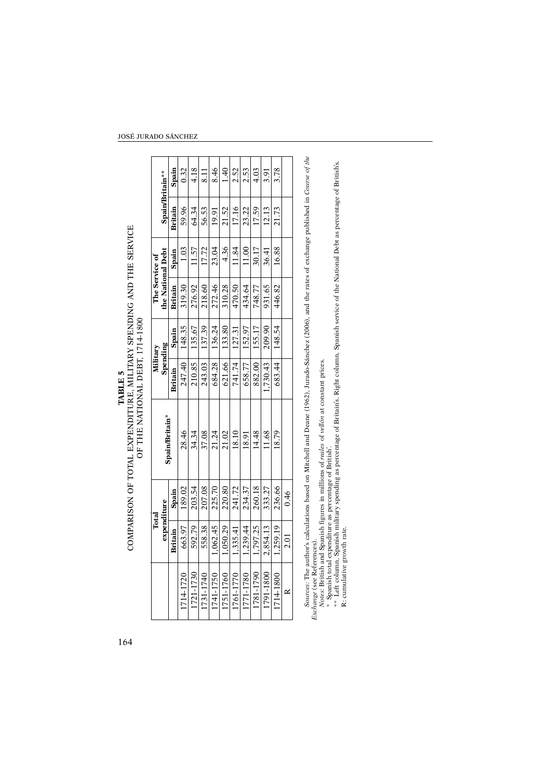| Spain/Britain**                     | Spain          | 0.32      | 4.18      | 8.11      | 8.46      | 1.40      | 2.52      | 2.53      | 4.03      | 3.91      | 3.78      |           |
|-------------------------------------|----------------|-----------|-----------|-----------|-----------|-----------|-----------|-----------|-----------|-----------|-----------|-----------|
|                                     | <b>Britain</b> | 59.96     | 64.34     | 56.53     | 19.91     | 21.52     | 17.16     | 23.22     | 17.59     | 12.13     | 21.73     |           |
|                                     | Spain          | 1.03      | 11.57     | 17.72     | 23.04     | 4.36      | 11.84     | 11.00     | 30.17     | 36.41     | 16.88     |           |
| the National Debt<br>The Service of | <b>Britain</b> | 319.30    | 276.92    | 218.60    | 272.46    | 310.28    | 470.50    | 434.64    | 748.77    | 931.65    | 446.82    |           |
|                                     | Spain          | 148.35    | 135.67    | 137.39    | 136.24    | 133.80    | 127.31    | 152.97    | 155.17    | 209.90    | 148.54    |           |
| Spending<br>Military                | Britain        | 247.40    | 210.85    | 243.03    | 684.28    | 621.66    | 741.74    | 658.77    | 882.00    | 1,730.43  | 683.44    |           |
| Spain/Britain*                      |                | 28.46     | 34.34     | 37.08     | 21.24     | 21.02     | 18.10     | 18.91     | 14.48     | 11.68     | 18.79     |           |
|                                     | Spain          | 189.02    | 203.54    | 207.08    | 225.70    | 220.80    | 241.72    | 234.37    | 260.18    | 333.27    | 236.66    | 0.46      |
| expenditure<br>Total                | Britain        | 663.97    | 592.79    | 558.38    | 1,062.45  | 1,050.29  | 1,335.41  | 1,239.44  | 1,797.25  | 2,854.13  | 1,259.19  | 2.01      |
|                                     |                | 1714-1720 | 1721-1730 | 1731-1740 | 1741-1750 | 1751-1760 | 1761-1770 | 1771-1780 | 1781-1790 | 1791-1800 | 1714-1800 | $\approx$ |

Sources: The author's calculations based on Mitchell and Deane (1962), Jurado-Sánchez (2006), and the rates of exchange published in Course of the<br>Exchange (see References).<br>Notes: British and Spanish figures in millions o *Sources:* The author's calculations based on Mitchell and Deane (1962), Jurado-Sánchez (2006), and the rates of exchange published in *Course of the Exchange* (see References).

*Notes:* British and Spanish figures in millions of *reales* of *vellón* at constant prices.

\* Spanish total expenditure as percentage of British'.

\*\* Left column, Spanish military spending as percentage of Britain's. Right column, Spanish service of the National Debt as percentage of British's. R: cumulative growth rate.

'n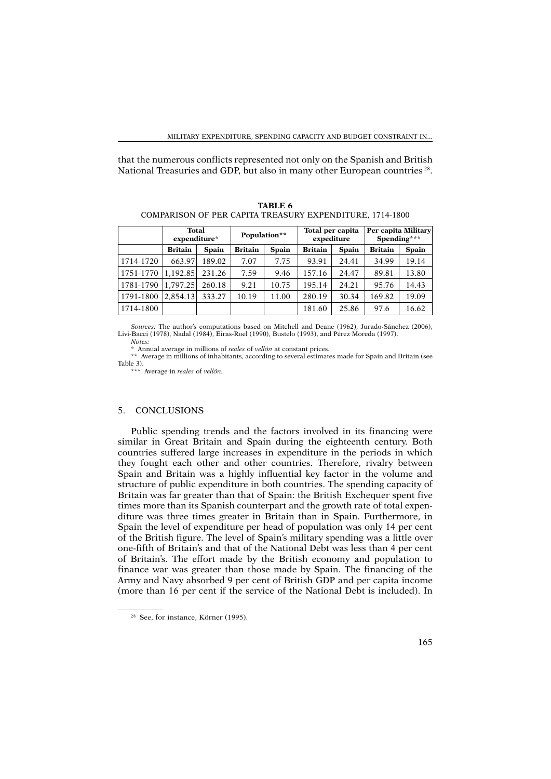that the numerous conflicts represented not only on the Spanish and British National Treasuries and GDP, but also in many other European countries<sup>28</sup>.

| TABLE 6                                                  |
|----------------------------------------------------------|
| COMPARISON OF PER CAPITA TREASURY EXPENDITURE, 1714-1800 |

|           | Total<br>expenditure* |        |                | Population** | Total per capita | expediture   | Per capita Military<br>Spending*** |       |
|-----------|-----------------------|--------|----------------|--------------|------------------|--------------|------------------------------------|-------|
|           | <b>Britain</b>        | Spain  | <b>Britain</b> | <b>Spain</b> | <b>Britain</b>   | <b>Spain</b> | <b>Britain</b>                     | Spain |
| 1714-1720 | 663.97                | 189.02 | 7.07           | 7.75         | 93.91            | 24.41        | 34.99                              | 19.14 |
| 1751-1770 | 1.192.85              | 231.26 | 7.59           | 9.46         | 157.16           | 24.47        | 89.81                              | 13.80 |
| 1781-1790 | 1,797.25              | 260.18 | 9.21           | 10.75        | 195.14           | 24.21        | 95.76                              | 14.43 |
| 1791-1800 | 2,854.13              | 333.27 | 10.19          | 11.00        | 280.19           | 30.34        | 169.82                             | 19.09 |
| 1714-1800 |                       |        |                |              | 181.60           | 25.86        | 97.6                               | 16.62 |

*Sources:* The author's computations based on Mitchell and Deane (1962), Jurado-Sánchez (2006), Livi-Bacci (1978), Nadal (1984), Eiras-Roel (1990), Bustelo (1993), and Pérez Moreda (1997). *Notes:*

\* Annual average in millions of *reales* of *vellón* at constant prices.

\*\* Average in millions of inhabitants, according to several estimates made for Spain and Britain (see Table 3).

\*\*\* Average in *reales* of *vellón.*

#### 5. CONCLUSIONS

Public spending trends and the factors involved in its financing were similar in Great Britain and Spain during the eighteenth century. Both countries suffered large increases in expenditure in the periods in which they fought each other and other countries. Therefore, rivalry between Spain and Britain was a highly influential key factor in the volume and structure of public expenditure in both countries. The spending capacity of Britain was far greater than that of Spain: the British Exchequer spent five times more than its Spanish counterpart and the growth rate of total expenditure was three times greater in Britain than in Spain. Furthermore, in Spain the level of expenditure per head of population was only 14 per cent of the British figure. The level of Spain's military spending was a little over one-fifth of Britain's and that of the National Debt was less than 4 per cent of Britain's. The effort made by the British economy and population to finance war was greater than those made by Spain. The financing of the Army and Navy absorbed 9 per cent of British GDP and per capita income (more than 16 per cent if the service of the National Debt is included). In

<sup>28</sup> See, for instance, Körner (1995).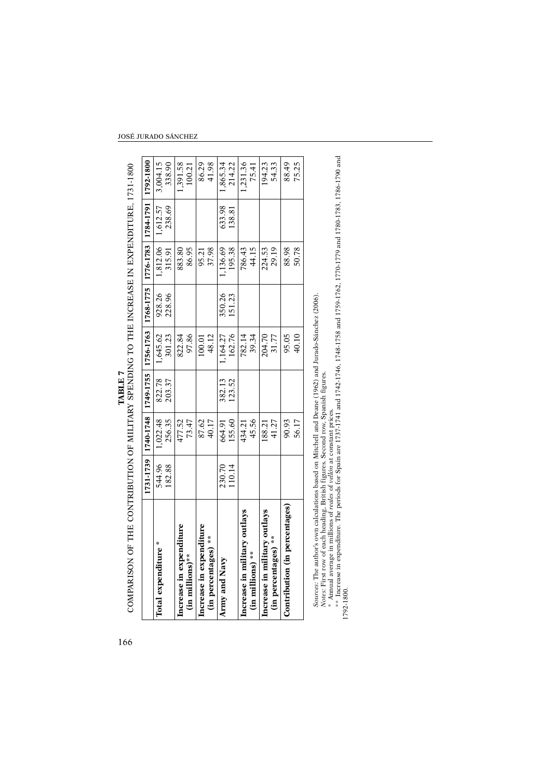| 544.96<br>182.88<br>Increase in expenditure<br>Total expenditure *<br>$(in$ millions)** |          | 1731-1739   1740-1748   1749-1755   1756-1763   1768-1775   1776-1783   1784-1791 |          |        |          |          | 1792-1800 |
|-----------------------------------------------------------------------------------------|----------|-----------------------------------------------------------------------------------|----------|--------|----------|----------|-----------|
|                                                                                         |          |                                                                                   |          |        |          |          |           |
|                                                                                         | 1,022.48 | 822.78                                                                            | 1,645.62 | 928.26 | 1,812.06 | 1,612.57 | 3,004.15  |
|                                                                                         | 256.35   | 203.37                                                                            | 301.23   | 228.96 | 315.91   | 238.69   | 338.90    |
|                                                                                         | 477.52   |                                                                                   | 822.84   |        | 883.80   |          | 1,391.58  |
|                                                                                         | 73.47    |                                                                                   | 97.86    |        | 86.95    |          | 100.21    |
| Increase in expenditure                                                                 | 87.62    |                                                                                   | 100.01   |        | 95.21    |          | 86.29     |
| (in percentages) **                                                                     | 40.17    |                                                                                   | 48.12    |        | 37.98    |          | 41.98     |
| 230.70<br>Army and Navy                                                                 | 664.91   | 382.13                                                                            | 1,164.27 | 350.26 | 136.69   | 633.98   | 1,865.34  |
| 110.14                                                                                  | 155.60   | 123.52                                                                            | 162.76   | 151.23 | 195.38   | 138.81   | 214.22    |
| Increase in military outlays                                                            | 434.21   |                                                                                   | 782.14   |        | 786.43   |          | 1,231.36  |
| (in millions) **                                                                        | 45.56    |                                                                                   | 39.34    |        | 44.15    |          | 75.41     |
| Increase in military outlays                                                            | 188.21   |                                                                                   | 204.70   |        | 224.53   |          | 194.23    |
| (in percentages) **                                                                     | 41.27    |                                                                                   | 31.77    |        | 29.19    |          | 54.33     |
| Contribution (in percentages)                                                           | 90.93    |                                                                                   | 95.05    |        | 88.98    |          | 88.49     |
|                                                                                         | 56.17    |                                                                                   | 40.10    |        | 50.78    |          | 75.25     |

 $\begin{tabular}{ll} \textbf{TABLE} & \textbf{TABLE 7} \\ \textbf{COMPARISON OF THE CONTREDITION OF MULTARY SPENDING TO THE INCREASE IN EXPENDITURE, 1731-1800 \\ \end{tabular}$ TABLE 7<br>66 COMPARISON OF THE CONTRIBUTION OF MILITARY SPENDING TO THE INCREASE IN EXPENDITURE, 1731-1800

*Sources:* The author's own calculations based on Mitchell and Deane (1962) and Jurado-Sánchez (2006).

*Notes:* First row of each heading, British figures. Second row, Spanish figures.

\* Annual average in millions of *reales* of *vellón* at constant prices.

Sources: The author's own calculations based on Mitchell and Deane (1962) and Jurado-Sánchez (2006).<br>*Notes:* First row of each heading. British figures. Second row, Spanish figures.<br>\* Amnual average in millions of *reales* \*\* Increase in expenditure. The periods for Spain are 1737-1741 and 1742-1746, 1748-1758 and 1759-1762, 1770-1779 and 1780-1783, 1786-1790 and 1792-1800.

# JOSÉ JURADO SÁNCHEZ

166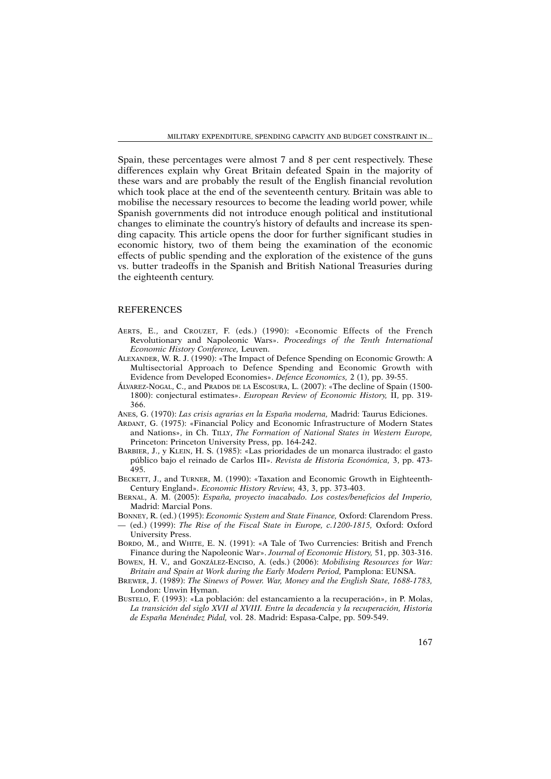Spain, these percentages were almost 7 and 8 per cent respectively. These differences explain why Great Britain defeated Spain in the majority of these wars and are probably the result of the English financial revolution which took place at the end of the seventeenth century. Britain was able to mobilise the necessary resources to become the leading world power, while Spanish governments did not introduce enough political and institutional changes to eliminate the country's history of defaults and increase its spending capacity. This article opens the door for further significant studies in economic history, two of them being the examination of the economic effects of public spending and the exploration of the existence of the guns vs. butter tradeoffs in the Spanish and British National Treasuries during the eighteenth century.

## REFERENCES

- AERTS, E., and CROUZET, F. (eds.) (1990): «Economic Effects of the French Revolutionary and Napoleonic Wars». *Proceedings of the Tenth International Economic History Conference,* Leuven.
- ALEXANDER, W. R. J. (1990): «The Impact of Defence Spending on Economic Growth: A Multisectorial Approach to Defence Spending and Economic Growth with Evidence from Developed Economies». *Defence Economics,* 2 (1), pp. 39-55.
- ÁLVAREZ-NOGAL, C., and PRADOS DE LA ESCOSURA, L. (2007): «The decline of Spain (1500- 1800): conjectural estimates». *European Review of Economic History,* II, pp. 319- 366.
- ANES, G. (1970): *Las crisis agrarias en la España moderna,* Madrid: Taurus Ediciones.
- ARDANT, G. (1975): «Financial Policy and Economic Infrastructure of Modern States and Nations», in Ch. TILLY, *The Formation of National States in Western Europe,* Princeton: Princeton University Press, pp. 164-242.
- BARBIER, J., y KLEIN, H. S. (1985): «Las prioridades de un monarca ilustrado: el gasto público bajo el reinado de Carlos III». *Revista de Historia Económica,* 3, pp. 473- 495.
- BECKETT, J., and TURNER, M. (1990): «Taxation and Economic Growth in Eighteenth-Century England». *Economic History Review,* 43, 3, pp. 373-403.
- BERNAL, A. M. (2005): *España, proyecto inacabado. Los costes/beneficios del Imperio,* Madrid: Marcial Pons.
- BONNEY, R. (ed.) (1995): *Economic System and State Finance,* Oxford: Clarendom Press. — (ed.) (1999): *The Rise of the Fiscal State in Europe, c.1200-1815,* Oxford: Oxford University Press.
- BORDO, M., and WHITE, E. N. (1991): «A Tale of Two Currencies: British and French Finance during the Napoleonic War». *Journal of Economic History,* 51, pp. 303-316.
- BOWEN, H. V., and GONZÁLEZ-ENCISO, A. (eds.) (2006): *Mobilising Resources for War: Britain and Spain at Work during the Early Modern Period,* Pamplona: EUNSA.
- BREWER, J. (1989): *The Sinews of Power. War, Money and the English State, 1688-1783,* London: Unwin Hyman.
- BUSTELO, F. (1993): «La población: del estancamiento a la recuperación», in P. Molas, *La transición del siglo XVII al XVIII. Entre la decadencia y la recuperación, Historia de España Menéndez Pidal,* vol. 28. Madrid: Espasa-Calpe, pp. 509-549.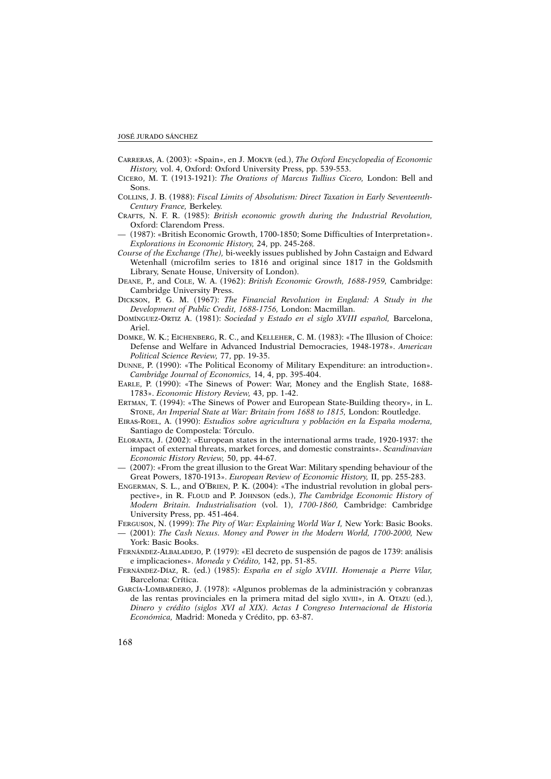- CARRERAS, A. (2003): «Spain», en J. MOKYR (ed.), *The Oxford Encyclopedia of Economic History,* vol. 4, Oxford: Oxford University Press, pp. 539-553.
- CICERO, M. T. (1913-1921): *The Orations of Marcus Tullius Cicero,* London: Bell and Sons.
- COLLINS, J. B. (1988): *Fiscal Limits of Absolutism: Direct Taxation in Early Seventeenth-Century France,* Berkeley.
- CRAFTS, N. F. R. (1985): *British economic growth during the Industrial Revolution,* Oxford: Clarendom Press.
- (1987): «British Economic Growth, 1700-1850; Some Difficulties of Interpretation». *Explorations in Economic History,* 24, pp. 245-268.
- *Course of the Exchange (The),* bi-weekly issues published by John Castaign and Edward Wetenhall (microfilm series to 1816 and original since 1817 in the Goldsmith Library, Senate House, University of London).
- DEANE, P., and COLE, W. A. (1962): *British Economic Growth, 1688-1959,* Cambridge: Cambridge University Press.
- DICKSON, P. G. M. (1967): *The Financial Revolution in England: A Study in the Development of Public Credit, 1688-1756,* London: Macmillan.
- DOMÍNGUEZ-ORTIZ A. (1981): *Sociedad y Estado en el siglo XVIII español,* Barcelona, Ariel.
- DOMKE, W. K.; EICHENBERG, R. C., and KELLEHER, C. M. (1983): «The Illusion of Choice: Defense and Welfare in Advanced Industrial Democracies, 1948-1978». *American Political Science Review,* 77, pp. 19-35.
- DUNNE, P. (1990): «The Political Economy of Military Expenditure: an introduction». *Cambridge Journal of Economics,* 14, 4, pp. 395-404.
- EARLE, P. (1990): «The Sinews of Power: War, Money and the English State, 1688- 1783». *Economic History Review,* 43, pp. 1-42.
- ERTMAN, T. (1994): «The Sinews of Power and European State-Building theory», in L. STONE, *An Imperial State at War: Britain from 1688 to 1815,* London: Routledge.
- EIRAS-ROEL, A. (1990): *Estudios sobre agricultura y población en la España moderna,* Santiago de Compostela: Tórculo.
- ELORANTA, J. (2002): «European states in the international arms trade, 1920-1937: the impact of external threats, market forces, and domestic constraints». *Scandinavian Economic History Review,* 50, pp. 44-67.
- $(2007)$ : «From the great illusion to the Great War: Military spending behaviour of the Great Powers, 1870-1913». *European Review of Economic History,* II, pp. 255-283.
- ENGERMAN, S. L., and O'BRIEN, P. K. (2004): «The industrial revolution in global perspective», in R. FLOUD and P. JOHNSON (eds.), *The Cambridge Economic History of Modern Britain. Industrialisation* (vol. 1), *1700-1860,* Cambridge: Cambridge University Press, pp. 451-464.

FERGUSON, N. (1999): *The Pity of War: Explaining World War I,* New York: Basic Books. — (2001): *The Cash Nexus. Money and Power in the Modern World, 1700-2000,* New York: Basic Books.

- FERNÁNDEZ-ALBALADEJO, P. (1979): «El decreto de suspensión de pagos de 1739: análisis e implicaciones». *Moneda y Crédito,* 142, pp. 51-85.
- FERNÁNDEZ-DÍAZ, R. (ed.) (1985): *España en el siglo XVIII. Homenaje a Pierre Vilar,* Barcelona: Crítica.
- GARCÍA-LOMBARDERO, J. (1978): «Algunos problemas de la administración y cobranzas de las rentas provinciales en la primera mitad del siglo XVIII», in A. OTAZU (ed.), *Dinero y crédito (siglos XVI al XIX). Actas I Congreso Internacional de Historia Económica,* Madrid: Moneda y Crédito, pp. 63-87.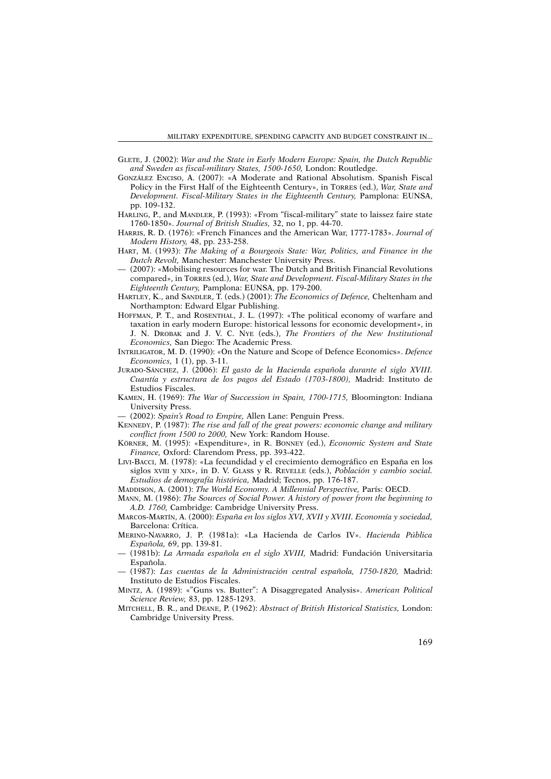- GLETE, J. (2002): *War and the State in Early Modern Europe: Spain, the Dutch Republic and Sweden as fiscal-military States, 1500-1650,* London: Routledge.
- GONZÁLEZ ENCISO, A. (2007): «A Moderate and Rational Absolutism. Spanish Fiscal Policy in the First Half of the Eighteenth Century», in TORRES (ed.), *War, State and Development. Fiscal-Military States in the Eighteenth Century,* Pamplona: EUNSA, pp. 109-132.
- HARLING, P., and MANDLER, P. (1993): «From "fiscal-military" state to laissez faire state 1760-1850». *Journal of British Studies,* 32, no 1, pp. 44-70.
- HARRIS, R. D. (1976): «French Finances and the American War, 1777-1783». *Journal of Modern History,* 48, pp. 233-258.
- HART, M. (1993): *The Making of a Bourgeois State: War, Politics, and Finance in the Dutch Revolt,* Manchester: Manchester University Press.
- $(2007)$ : «Mobilising resources for war. The Dutch and British Financial Revolutions compared», in TORRES (ed.), *War, State and Development. Fiscal-Military States in the Eighteenth Century,* Pamplona: EUNSA, pp. 179-200.
- HARTLEY, K., and SANDLER, T. (eds.) (2001): *The Economics of Defence,* Cheltenham and Northampton: Edward Elgar Publishing.
- HOFFMAN, P. T., and ROSENTHAL, J. L. (1997): «The political economy of warfare and taxation in early modern Europe: historical lessons for economic development», in J. N. DROBAK and J. V. C. NYE (eds.), *The Frontiers of the New Institutional Economics,* San Diego: The Academic Press.
- INTRILIGATOR, M. D. (1990): «On the Nature and Scope of Defence Economics». *Defence Economics,* 1 (1), pp. 3-11.
- JURADO-SÁNCHEZ, J. (2006): *El gasto de la Hacienda española durante el siglo XVIII. Cuantía y estructura de los pagos del Estado (1703-1800),* Madrid: Instituto de Estudios Fiscales.
- KAMEN, H. (1969): *The War of Succession in Spain, 1700-1715,* Bloomington: Indiana University Press.
- (2002): *Spain's Road to Empire,* Allen Lane: Penguin Press.
- KENNEDY, P. (1987): *The rise and fall of the great powers: economic change and military conflict from 1500 to 2000,* New York: Random House.
- KÖRNER, M. (1995): «Expenditure», in R. BONNEY (ed.), *Economic System and State Finance,* Oxford: Clarendom Press, pp. 393-422.
- LIVI-BACCI, M. (1978): «La fecundidad y el crecimiento demográfico en España en los siglos XVIII y XIX», in D. V. GLASS y R. REVELLE (eds.), *Población y cambio social. Estudios de demografía histórica,* Madrid; Tecnos, pp. 176-187.
- MADDISON, A. (2001): *The World Economy. A Millennial Perspective,* París: OECD.
- MANN, M. (1986): *The Sources of Social Power. A history of power from the beginning to A.D. 1760,* Cambridge: Cambridge University Press.
- MARCOS-MARTÍN, A. (2000): *España en los siglos XVI, XVII y XVIII. Economía y sociedad,* Barcelona: Crítica.
- MERINO-NAVARRO, J. P. (1981a): «La Hacienda de Carlos IV». *Hacienda Pública Española,* 69, pp. 139-81.
- (1981b): *La Armada española en el siglo XVIII,* Madrid: Fundación Universitaria Española.
- (1987): *Las cuentas de la Administración central española, 1750-1820,* Madrid: Instituto de Estudios Fiscales.
- MINTZ, A. (1989): «"Guns vs. Butter": A Disaggregated Analysis». *American Political Science Review,* 83, pp. 1285-1293.
- MITCHELL, B. R., and DEANE, P. (1962): *Abstract of British Historical Statistics,* London: Cambridge University Press.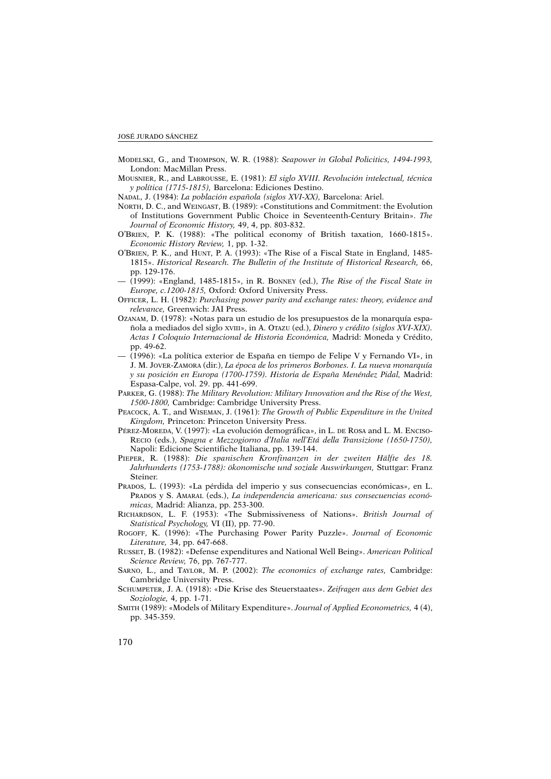- MODELSKI, G., and THOMPSON, W. R. (1988): *Seapower in Global Policitics, 1494-1993,* London: MacMillan Press.
- MOUSNIER, R., and LABROUSSE, E. (1981): *El siglo XVIII. Revolución intelectual, técnica y política (1715-1815),* Barcelona: Ediciones Destino.
- NADAL, J. (1984): *La población española (siglos XVI-XX),* Barcelona: Ariel.
- NORTH, D. C., and WEINGAST, B. (1989): «Constitutions and Commitment: the Evolution of Institutions Government Public Choice in Seventeenth-Century Britain». *The Journal of Economic History,* 49, 4, pp. 803-832.
- O'BRIEN, P. K. (1988): «The political economy of British taxation, 1660-1815». *Economic History Review,* 1, pp. 1-32.
- O'BRIEN, P. K., and HUNT, P. A. (1993): «The Rise of a Fiscal State in England, 1485- 1815». *Historical Research. The Bulletin of the Institute of Historical Research,* 66, pp. 129-176.
- (1999): «England, 1485-1815», in R. BONNEY (ed.), *The Rise of the Fiscal State in Europe, c.1200-1815,* Oxford: Oxford University Press.
- OFFICER, L. H. (1982): *Purchasing power parity and exchange rates: theory, evidence and relevance,* Greenwich: JAI Press.
- OZANAM, D. (1978): «Notas para un estudio de los presupuestos de la monarquía española a mediados del siglo XVIII», in A. OTAZU (ed.), *Dinero y crédito (siglos XVI-XIX). Actas I Coloquio Internacional de Historia Económica,* Madrid: Moneda y Crédito, pp. 49-62.
- (1996): «La política exterior de España en tiempo de Felipe V y Fernando VI», in J. M. JOVER-ZAMORA (dir.), *La época de los primeros Borbones. I. La nueva monarquía y su posición en Europa (1700-1759). Historia de España Menéndez Pidal,* Madrid: Espasa-Calpe, vol. 29. pp. 441-699.
- PARKER, G. (1988): *The Military Revolution: Military Innovation and the Rise of the West, 1500-1800,* Cambridge: Cambridge University Press.
- PEACOCK, A. T., and WISEMAN, J. (1961): *The Growth of Public Expenditure in the United Kingdom,* Princeton: Princeton University Press.
- PÉREZ-MOREDA, V. (1997): «La evolución demográfica», in L. DE ROSA and L. M. ENCISO-RECIO (eds.), *Spagna e Mezzogiorno d'Italia nell'Etá della Transizione (1650-1750),* Napoli: Edicione Scientifiche Italiana, pp. 139-144.
- PIEPER, R. (1988): *Die spanischen Kronfinanzen in der zweiten Hälfte des 18. Jahrhunderts (1753-1788): ökonomische und soziale Auswirkungen,* Stuttgar: Franz Steiner.
- PRADOS, L. (1993): «La pérdida del imperio y sus consecuencias económicas», en L. PRADOS y S. AMARAL (eds.), *La independencia americana: sus consecuencias económicas,* Madrid: Alianza, pp. 253-300.
- RICHARDSON, L. F. (1953): «The Submissiveness of Nations». *British Journal of Statistical Psychology,* VI (II), pp. 77-90.
- ROGOFF, K. (1996): «The Purchasing Power Parity Puzzle». *Journal of Economic Literature,* 34, pp. 647-668.
- RUSSET, B. (1982): «Defense expenditures and National Well Being». *American Political Science Review,* 76, pp. 767-777.
- SARNO, L., and TAYLOR, M. P. (2002): *The economics of exchange rates,* Cambridge: Cambridge University Press.
- SCHUMPETER, J. A. (1918): «Die Krise des Steuerstaates». *Zeifragen aus dem Gebiet des Soziologie,* 4, pp. 1-71.
- SMITH (1989): «Models of Military Expenditure». *Journal of Applied Econometrics,* 4 (4), pp. 345-359.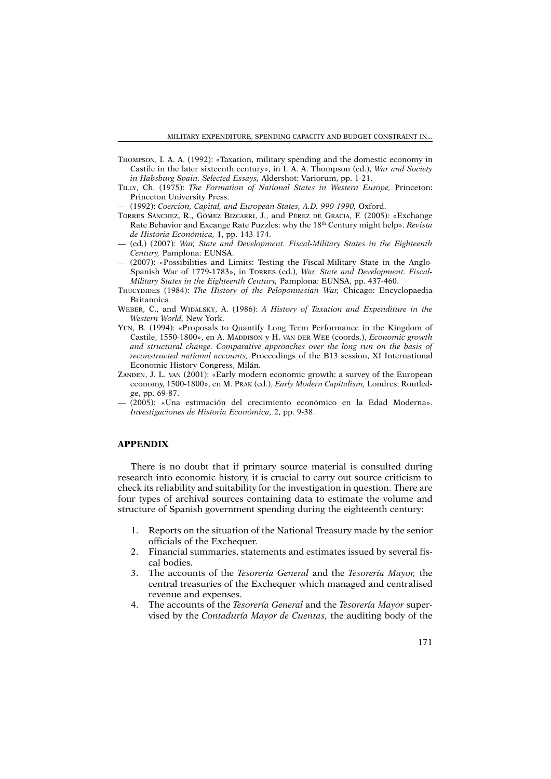- THOMPSON, I. A. A. (1992): «Taxation, military spending and the domestic economy in Castile in the later sixteenth century», in I. A. A. Thompson (ed.), *War and Society in Habsburg Spain. Selected Essays,* Aldershot: Variorum, pp. 1-21.
- TILLY, Ch. (1975): *The Formation of National States in Western Europe,* Princeton: Princeton University Press.
- (1992): *Coercion, Capital, and European States, A.D. 990-1990,* Oxford.
- TORRES SÁNCHEZ, R., GÓMEZ BIZCARRI, J., and PÉREZ DE GRACIA, F. (2005): «Exchange Rate Behavior and Excange Rate Puzzles: why the 18th Century might help». *Revista de Historia Económica,* 1, pp. 143-174.
- (ed.) (2007): *War, State and Development. Fiscal-Military States in the Eighteenth Century,* Pamplona: EUNSA.
- (2007): «Possibilities and Limits: Testing the Fiscal-Military State in the Anglo-Spanish War of 1779-1783», in TORRES (ed.), *War, State and Development. Fiscal-Military States in the Eighteenth Century,* Pamplona: EUNSA, pp. 437-460.
- THUCYDIDES (1984): *The History of the Peloponnesian War,* Chicago: Encyclopaedia Britannica.
- WEBER, C., and WIDALSKY, A. (1986): *A History of Taxation and Expenditure in the Western World,* New York.
- YUN, B. (1994): «Proposals to Quantify Long Term Performance in the Kingdom of Castile, 1550-1800», en A. MADDISON y H. VAN DER WEE (coords.), *Economic growth and structural change. Comparative approaches over the long run on the basis of reconstructed national accounts,* Proceedings of the B13 session, XI International Economic History Congress, Milán.
- ZANDEN, J. L. VAN (2001): «Early modern economic growth: a survey of the European economy, 1500-1800», en M. PRAK (ed.), *Early Modern Capitalism,* Londres: Routledge, pp. 69-87.
- (2005): «Una estimación del crecimiento económico en la Edad Moderna». *Investigaciones de Historia Económica,* 2, pp. 9-38.

## **APPENDIX**

There is no doubt that if primary source material is consulted during research into economic history, it is crucial to carry out source criticism to check its reliability and suitability for the investigation in question. There are four types of archival sources containing data to estimate the volume and structure of Spanish government spending during the eighteenth century:

- 1. Reports on the situation of the National Treasury made by the senior officials of the Exchequer.
- 2. Financial summaries, statements and estimates issued by several fiscal bodies.
- 3. The accounts of the *Tesorería General* and the *Tesorería Mayor,* the central treasuries of the Exchequer which managed and centralised revenue and expenses.
- 4. The accounts of the *Tesorería General* and the *Tesorería Mayor* supervised by the *Contaduría Mayor de Cuentas,* the auditing body of the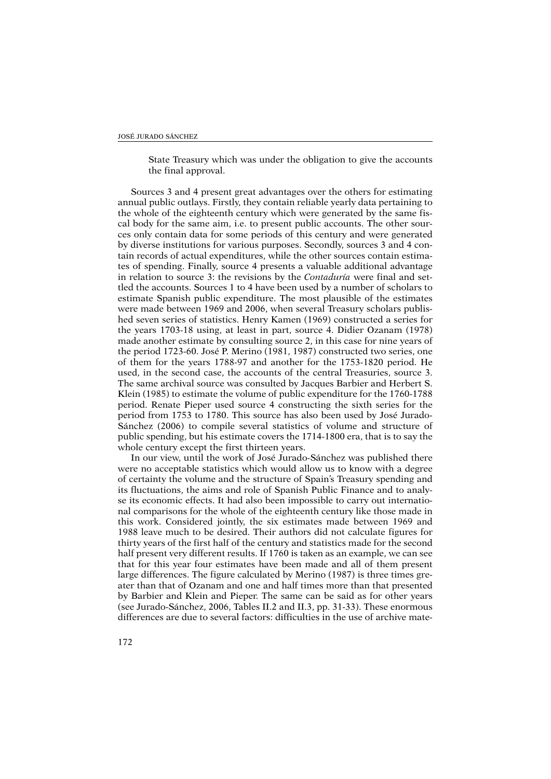State Treasury which was under the obligation to give the accounts the final approval.

Sources 3 and 4 present great advantages over the others for estimating annual public outlays. Firstly, they contain reliable yearly data pertaining to the whole of the eighteenth century which were generated by the same fiscal body for the same aim, i.e. to present public accounts. The other sources only contain data for some periods of this century and were generated by diverse institutions for various purposes. Secondly, sources 3 and 4 contain records of actual expenditures, while the other sources contain estimates of spending. Finally, source 4 presents a valuable additional advantage in relation to source 3: the revisions by the *Contaduría* were final and settled the accounts. Sources 1 to 4 have been used by a number of scholars to estimate Spanish public expenditure. The most plausible of the estimates were made between 1969 and 2006, when several Treasury scholars published seven series of statistics. Henry Kamen (1969) constructed a series for the years 1703-18 using, at least in part, source 4. Didier Ozanam (1978) made another estimate by consulting source 2, in this case for nine years of the period 1723-60. José P. Merino (1981, 1987) constructed two series, one of them for the years 1788-97 and another for the 1753-1820 period. He used, in the second case, the accounts of the central Treasuries, source 3. The same archival source was consulted by Jacques Barbier and Herbert S. Klein (1985) to estimate the volume of public expenditure for the 1760-1788 period. Renate Pieper used source 4 constructing the sixth series for the period from 1753 to 1780. This source has also been used by José Jurado-Sánchez (2006) to compile several statistics of volume and structure of public spending, but his estimate covers the 1714-1800 era, that is to say the whole century except the first thirteen years.

In our view, until the work of José Jurado-Sánchez was published there were no acceptable statistics which would allow us to know with a degree of certainty the volume and the structure of Spain's Treasury spending and its fluctuations, the aims and role of Spanish Public Finance and to analyse its economic effects. It had also been impossible to carry out international comparisons for the whole of the eighteenth century like those made in this work. Considered jointly, the six estimates made between 1969 and 1988 leave much to be desired. Their authors did not calculate figures for thirty years of the first half of the century and statistics made for the second half present very different results. If 1760 is taken as an example, we can see that for this year four estimates have been made and all of them present large differences. The figure calculated by Merino (1987) is three times greater than that of Ozanam and one and half times more than that presented by Barbier and Klein and Pieper. The same can be said as for other years (see Jurado-Sánchez, 2006, Tables II.2 and II.3, pp. 31-33). These enormous differences are due to several factors: difficulties in the use of archive mate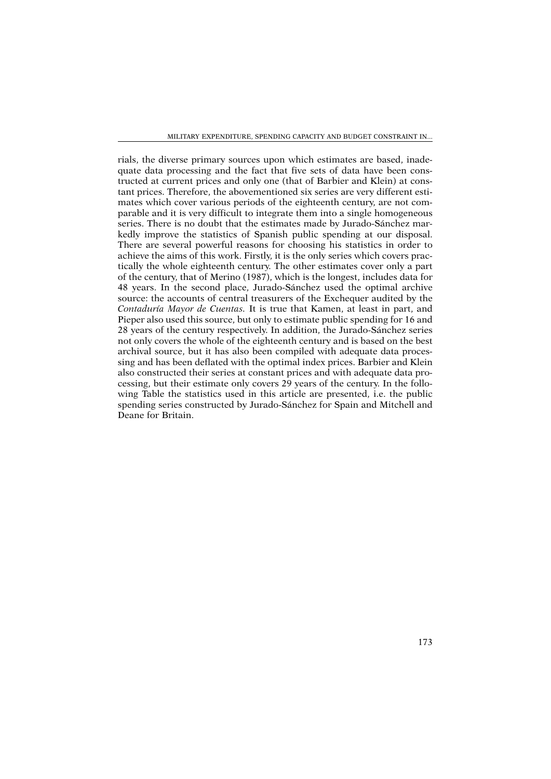rials, the diverse primary sources upon which estimates are based, inadequate data processing and the fact that five sets of data have been constructed at current prices and only one (that of Barbier and Klein) at constant prices. Therefore, the abovementioned six series are very different estimates which cover various periods of the eighteenth century, are not comparable and it is very difficult to integrate them into a single homogeneous series. There is no doubt that the estimates made by Jurado-Sánchez markedly improve the statistics of Spanish public spending at our disposal. There are several powerful reasons for choosing his statistics in order to achieve the aims of this work. Firstly, it is the only series which covers practically the whole eighteenth century. The other estimates cover only a part of the century, that of Merino (1987), which is the longest, includes data for 48 years. In the second place, Jurado-Sánchez used the optimal archive source: the accounts of central treasurers of the Exchequer audited by the *Contaduría Mayor de Cuentas.* It is true that Kamen, at least in part, and Pieper also used this source, but only to estimate public spending for 16 and 28 years of the century respectively. In addition, the Jurado-Sánchez series not only covers the whole of the eighteenth century and is based on the best archival source, but it has also been compiled with adequate data processing and has been deflated with the optimal index prices. Barbier and Klein also constructed their series at constant prices and with adequate data processing, but their estimate only covers 29 years of the century. In the following Table the statistics used in this article are presented, i.e. the public spending series constructed by Jurado-Sánchez for Spain and Mitchell and Deane for Britain.